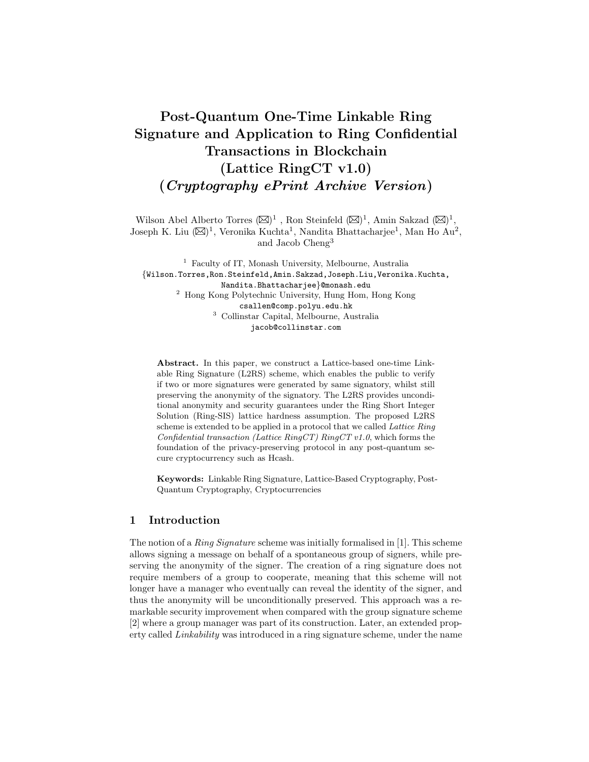# Post-Quantum One-Time Linkable Ring Signature and Application to Ring Confidential Transactions in Blockchain (Lattice RingCT v1.0) (Cryptography ePrint Archive Version)

Wilson Abel Alberto Torres  $(\boxtimes)^1$ , Ron Steinfeld  $(\boxtimes)^1$ , Amin Sakzad  $(\boxtimes)^1$ , Joseph K. Liu  $(\boxtimes)^1$ , Veronika Kuchta<sup>1</sup>, Nandita Bhattacharjee<sup>1</sup>, Man Ho Au<sup>2</sup>, and Jacob Cheng<sup>3</sup>

<sup>1</sup> Faculty of IT, Monash University, Melbourne, Australia {Wilson.Torres,Ron.Steinfeld,Amin.Sakzad,Joseph.Liu,Veronika.Kuchta, Nandita.Bhattacharjee}@monash.edu <sup>2</sup> Hong Kong Polytechnic University, Hung Hom, Hong Kong csallen@comp.polyu.edu.hk <sup>3</sup> Collinstar Capital, Melbourne, Australia jacob@collinstar.com

Abstract. In this paper, we construct a Lattice-based one-time Linkable Ring Signature (L2RS) scheme, which enables the public to verify if two or more signatures were generated by same signatory, whilst still preserving the anonymity of the signatory. The L2RS provides unconditional anonymity and security guarantees under the Ring Short Integer Solution (Ring-SIS) lattice hardness assumption. The proposed L2RS scheme is extended to be applied in a protocol that we called Lattice Ring Confidential transaction (Lattice RingCT) RingCT v1.0, which forms the foundation of the privacy-preserving protocol in any post-quantum secure cryptocurrency such as Hcash.

Keywords: Linkable Ring Signature, Lattice-Based Cryptography, Post-Quantum Cryptography, Cryptocurrencies

## 1 Introduction

The notion of a *Ring Signature* scheme was initially formalised in [1]. This scheme allows signing a message on behalf of a spontaneous group of signers, while preserving the anonymity of the signer. The creation of a ring signature does not require members of a group to cooperate, meaning that this scheme will not longer have a manager who eventually can reveal the identity of the signer, and thus the anonymity will be unconditionally preserved. This approach was a remarkable security improvement when compared with the group signature scheme [2] where a group manager was part of its construction. Later, an extended property called Linkability was introduced in a ring signature scheme, under the name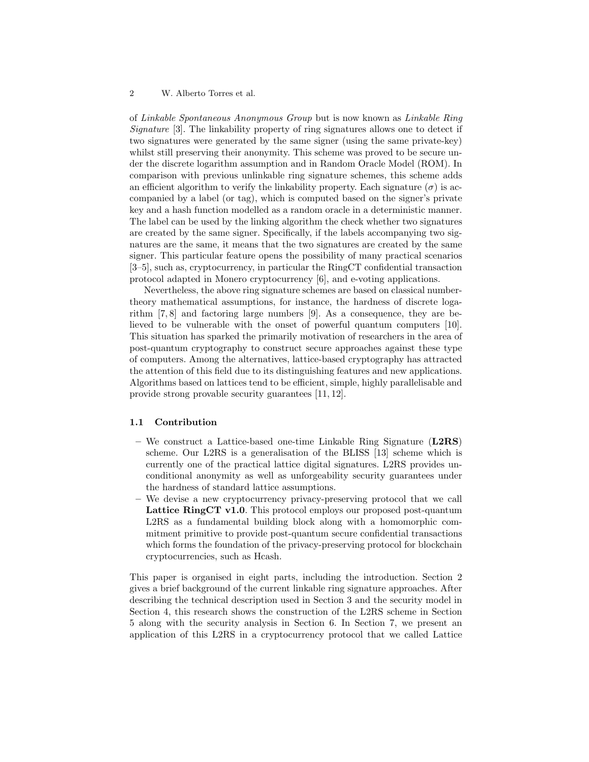## 2 W. Alberto Torres et al.

of Linkable Spontaneous Anonymous Group but is now known as Linkable Ring Signature [3]. The linkability property of ring signatures allows one to detect if two signatures were generated by the same signer (using the same private-key) whilst still preserving their anonymity. This scheme was proved to be secure under the discrete logarithm assumption and in Random Oracle Model (ROM). In comparison with previous unlinkable ring signature schemes, this scheme adds an efficient algorithm to verify the linkability property. Each signature  $(\sigma)$  is accompanied by a label (or tag), which is computed based on the signer's private key and a hash function modelled as a random oracle in a deterministic manner. The label can be used by the linking algorithm the check whether two signatures are created by the same signer. Specifically, if the labels accompanying two signatures are the same, it means that the two signatures are created by the same signer. This particular feature opens the possibility of many practical scenarios [3–5], such as, cryptocurrency, in particular the RingCT confidential transaction protocol adapted in Monero cryptocurrency [6], and e-voting applications.

Nevertheless, the above ring signature schemes are based on classical numbertheory mathematical assumptions, for instance, the hardness of discrete logarithm [7, 8] and factoring large numbers [9]. As a consequence, they are believed to be vulnerable with the onset of powerful quantum computers [10]. This situation has sparked the primarily motivation of researchers in the area of post-quantum cryptography to construct secure approaches against these type of computers. Among the alternatives, lattice-based cryptography has attracted the attention of this field due to its distinguishing features and new applications. Algorithms based on lattices tend to be efficient, simple, highly parallelisable and provide strong provable security guarantees [11, 12].

#### 1.1 Contribution

- We construct a Lattice-based one-time Linkable Ring Signature  $(L2RS)$ scheme. Our L2RS is a generalisation of the BLISS [13] scheme which is currently one of the practical lattice digital signatures. L2RS provides unconditional anonymity as well as unforgeability security guarantees under the hardness of standard lattice assumptions.
- We devise a new cryptocurrency privacy-preserving protocol that we call Lattice RingCT v1.0. This protocol employs our proposed post-quantum L2RS as a fundamental building block along with a homomorphic commitment primitive to provide post-quantum secure confidential transactions which forms the foundation of the privacy-preserving protocol for blockchain cryptocurrencies, such as Hcash.

This paper is organised in eight parts, including the introduction. Section 2 gives a brief background of the current linkable ring signature approaches. After describing the technical description used in Section 3 and the security model in Section 4, this research shows the construction of the L2RS scheme in Section 5 along with the security analysis in Section 6. In Section 7, we present an application of this L2RS in a cryptocurrency protocol that we called Lattice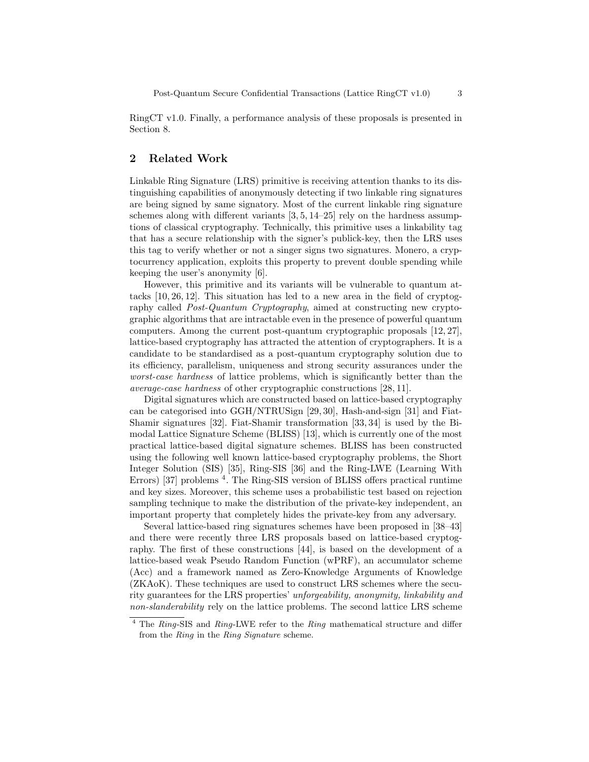RingCT v1.0. Finally, a performance analysis of these proposals is presented in Section 8.

# 2 Related Work

Linkable Ring Signature (LRS) primitive is receiving attention thanks to its distinguishing capabilities of anonymously detecting if two linkable ring signatures are being signed by same signatory. Most of the current linkable ring signature schemes along with different variants  $[3, 5, 14–25]$  rely on the hardness assumptions of classical cryptography. Technically, this primitive uses a linkability tag that has a secure relationship with the signer's publick-key, then the LRS uses this tag to verify whether or not a singer signs two signatures. Monero, a cryptocurrency application, exploits this property to prevent double spending while keeping the user's anonymity [6].

However, this primitive and its variants will be vulnerable to quantum attacks [10, 26, 12]. This situation has led to a new area in the field of cryptography called Post-Quantum Cryptography, aimed at constructing new cryptographic algorithms that are intractable even in the presence of powerful quantum computers. Among the current post-quantum cryptographic proposals [12, 27], lattice-based cryptography has attracted the attention of cryptographers. It is a candidate to be standardised as a post-quantum cryptography solution due to its efficiency, parallelism, uniqueness and strong security assurances under the worst-case hardness of lattice problems, which is significantly better than the average-case hardness of other cryptographic constructions [28, 11].

Digital signatures which are constructed based on lattice-based cryptography can be categorised into GGH/NTRUSign [29, 30], Hash-and-sign [31] and Fiat-Shamir signatures [32]. Fiat-Shamir transformation [33, 34] is used by the Bimodal Lattice Signature Scheme (BLISS) [13], which is currently one of the most practical lattice-based digital signature schemes. BLISS has been constructed using the following well known lattice-based cryptography problems, the Short Integer Solution (SIS) [35], Ring-SIS [36] and the Ring-LWE (Learning With Errors) [37] problems <sup>4</sup>. The Ring-SIS version of BLISS offers practical runtime and key sizes. Moreover, this scheme uses a probabilistic test based on rejection sampling technique to make the distribution of the private-key independent, an important property that completely hides the private-key from any adversary.

Several lattice-based ring signatures schemes have been proposed in [38–43] and there were recently three LRS proposals based on lattice-based cryptography. The first of these constructions [44], is based on the development of a lattice-based weak Pseudo Random Function (wPRF), an accumulator scheme (Acc) and a framework named as Zero-Knowledge Arguments of Knowledge (ZKAoK). These techniques are used to construct LRS schemes where the security guarantees for the LRS properties' unforgeability, anonymity, linkability and non-slanderability rely on the lattice problems. The second lattice LRS scheme

<sup>&</sup>lt;sup>4</sup> The Ring-SIS and Ring-LWE refer to the Ring mathematical structure and differ from the Ring in the Ring Signature scheme.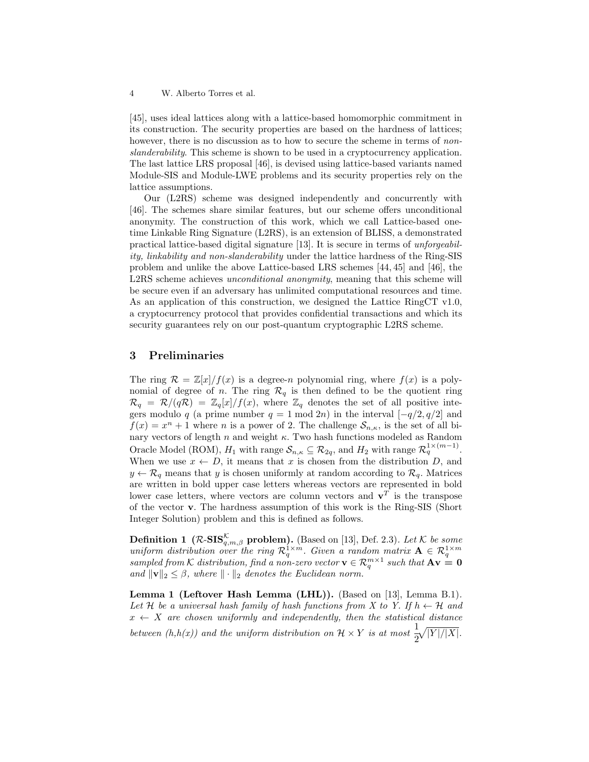#### 4 W. Alberto Torres et al.

[45], uses ideal lattices along with a lattice-based homomorphic commitment in its construction. The security properties are based on the hardness of lattices; however, there is no discussion as to how to secure the scheme in terms of *non*slanderability. This scheme is shown to be used in a cryptocurrency application. The last lattice LRS proposal [46], is devised using lattice-based variants named Module-SIS and Module-LWE problems and its security properties rely on the lattice assumptions.

Our (L2RS) scheme was designed independently and concurrently with [46]. The schemes share similar features, but our scheme offers unconditional anonymity. The construction of this work, which we call Lattice-based onetime Linkable Ring Signature (L2RS), is an extension of BLISS, a demonstrated practical lattice-based digital signature [13]. It is secure in terms of unforgeability, linkability and non-slanderability under the lattice hardness of the Ring-SIS problem and unlike the above Lattice-based LRS schemes [44, 45] and [46], the L2RS scheme achieves unconditional anonymity, meaning that this scheme will be secure even if an adversary has unlimited computational resources and time. As an application of this construction, we designed the Lattice RingCT v1.0, a cryptocurrency protocol that provides confidential transactions and which its security guarantees rely on our post-quantum cryptographic L2RS scheme.

# 3 Preliminaries

The ring  $\mathcal{R} = \mathbb{Z}[x]/f(x)$  is a degree-n polynomial ring, where  $f(x)$  is a polynomial of degree of n. The ring  $\mathcal{R}_q$  is then defined to be the quotient ring  $\mathcal{R}_q = \mathcal{R}/(q\mathcal{R}) = \mathbb{Z}_q[x]/f(x)$ , where  $\mathbb{Z}_q$  denotes the set of all positive integers modulo q (a prime number  $q = 1 \text{ mod } 2n$ ) in the interval  $[-q/2, q/2]$  and  $f(x) = x^n + 1$  where *n* is a power of 2. The challenge  $S_{n,\kappa}$ , is the set of all binary vectors of length  $n$  and weight  $\kappa$ . Two hash functions modeled as Random Oracle Model (ROM),  $H_1$  with range  $\mathcal{S}_{n,\kappa} \subseteq \mathcal{R}_{2q}$ , and  $H_2$  with range  $\mathcal{R}_q^{1 \times (m-1)}$ . When we use  $x \leftarrow D$ , it means that x is chosen from the distribution D, and  $y \leftarrow \mathcal{R}_q$  means that y is chosen uniformly at random according to  $\mathcal{R}_q$ . Matrices are written in bold upper case letters whereas vectors are represented in bold lower case letters, where vectors are column vectors and  $v<sup>T</sup>$  is the transpose of the vector v. The hardness assumption of this work is the Ring-SIS (Short Integer Solution) problem and this is defined as follows.

**Definition 1** ( $\mathcal{R}\text{-}\mathbf{SIS}_{q,m,\beta}^{\mathcal{K}}$  problem). (Based on [13], Def. 2.3). Let  $\mathcal{K}$  be some uniform distribution over the ring  $\mathcal{R}_q^{1 \times m}$ . Given a random matrix  $\mathbf{A} \in \mathcal{R}_q^{1 \times m}$ sampled from K distribution, find a non-zero vector  $\mathbf{v} \in \mathcal{R}_q^{m \times 1}$  such that  $\mathbf{A}\mathbf{v} = \mathbf{0}$ and  $\|\mathbf{v}\|_2 \leq \beta$ , where  $\|\cdot\|_2$  denotes the Euclidean norm.

Lemma 1 (Leftover Hash Lemma (LHL)). (Based on [13], Lemma B.1). Let H be a universal hash family of hash functions from X to Y. If  $h \leftarrow H$  and  $x \leftarrow X$  are chosen uniformly and independently, then the statistical distance between  $(h,h(x))$  and the uniform distribution on  $\mathcal{H} \times Y$  is at most  $\frac{1}{2}$ 2  $\sqrt{|Y|/|X|}$ .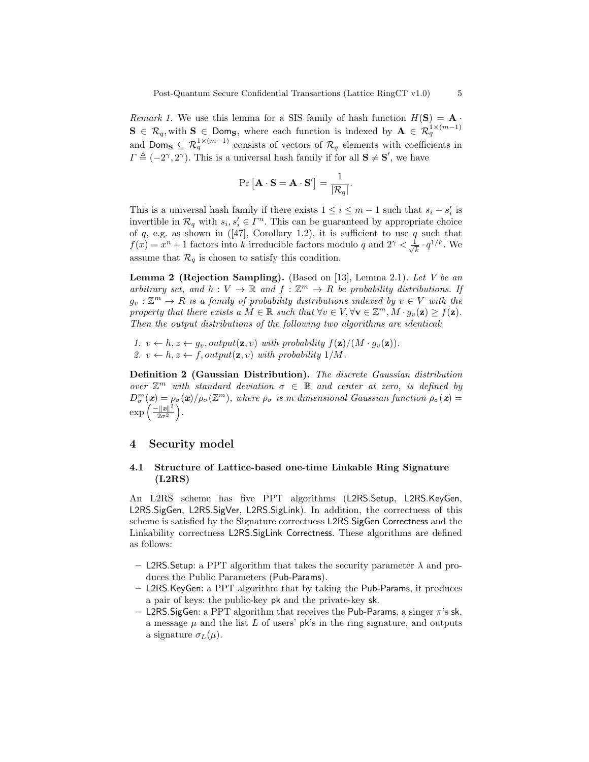Remark 1. We use this lemma for a SIS family of hash function  $H(S) = A \cdot$  $S \in \mathcal{R}_q$ , with  $S \in \mathsf{Dom}_S$ , where each function is indexed by  $A \in \mathcal{R}_q^{1 \times (m-1)}$ and Doms  $\subseteq \mathcal{R}_q^{1 \times (m-1)}$  consists of vectors of  $\mathcal{R}_q$  elements with coefficients in  $\Gamma \triangleq (-2^{\gamma}, 2^{\gamma})$ . This is a universal hash family if for all  $S \neq S'$ , we have

$$
\Pr\left[\mathbf{A}\cdot\mathbf{S}=\mathbf{A}\cdot\mathbf{S}'\right]=\frac{1}{|\mathcal{R}_q|}.
$$

This is a universal hash family if there exists  $1 \leq i \leq m-1$  such that  $s_i - s'_i$  is invertible in  $\mathcal{R}_q$  with  $s_i, s'_i \in \Gamma^n$ . This can be guaranteed by appropriate choice of q, e.g. as shown in ([47], Corollary 1.2), it is sufficient to use q such that  $f(x) = x^n + 1$  factors into k irreducible factors modulo q and  $2^{\gamma} < \frac{1}{\sqrt{2}}$  $\frac{1}{k} \cdot q^{1/k}$ . We assume that  $\mathcal{R}_q$  is chosen to satisfy this condition.

**Lemma 2 (Rejection Sampling).** (Based on [13], Lemma 2.1). Let V be an arbitrary set, and  $h: V \to \mathbb{R}$  and  $f: \mathbb{Z}^m \to R$  be probability distributions. If  $g_v: \mathbb{Z}^m \to R$  is a family of probability distributions indexed by  $v \in V$  with the property that there exists a  $M \in \mathbb{R}$  such that  $\forall v \in V, \forall v \in \mathbb{Z}^m, M \cdot g_v(\mathbf{z}) \geq f(\mathbf{z})$ . Then the output distributions of the following two algorithms are identical:

1.  $v \leftarrow h, z \leftarrow g_v, output(\mathbf{z}, v)$  with probability  $f(\mathbf{z})/(M \cdot g_v(\mathbf{z}))$ . 2.  $v \leftarrow h, z \leftarrow f, output(\mathbf{z}, v) \text{ with probability } 1/M$ .

Definition 2 (Gaussian Distribution). The discrete Gaussian distribution over  $\mathbb{Z}^m$  with standard deviation  $\sigma \in \mathbb{R}$  and center at zero, is defined by  $D_{\sigma}^{m}(\bm{x}) = \rho_{\sigma}(\bm{x})/\rho_{\sigma}(\mathbb{Z}^{m})$ , where  $\rho_{\sigma}$  is m dimensional Gaussian function  $\rho_{\sigma}(\bm{x}) =$  $\exp\left(\frac{-\|x\|^2}{2\sigma^2}\right)$  $\frac{\|x\|^2}{2\sigma^2}\bigg).$ 

## 4 Security model

## 4.1 Structure of Lattice-based one-time Linkable Ring Signature (L2RS)

An L2RS scheme has five PPT algorithms (L2RS.Setup, L2RS.KeyGen, L2RS.SigGen, L2RS.SigVer, L2RS.SigLink). In addition, the correctness of this scheme is satisfied by the Signature correctness L2RS.SigGen Correctness and the Linkability correctness L2RS.SigLink Correctness. These algorithms are defined as follows:

- L2RS. Setup: a PPT algorithm that takes the security parameter  $\lambda$  and produces the Public Parameters (Pub-Params).
- L2RS.KeyGen: a PPT algorithm that by taking the Pub-Params, it produces a pair of keys: the public-key pk and the private-key sk.
- L2RS. SigGen: a PPT algorithm that receives the Pub-Params, a singer  $\pi$ 's sk, a message  $\mu$  and the list L of users' pk's in the ring signature, and outputs a signature  $\sigma_L(\mu)$ .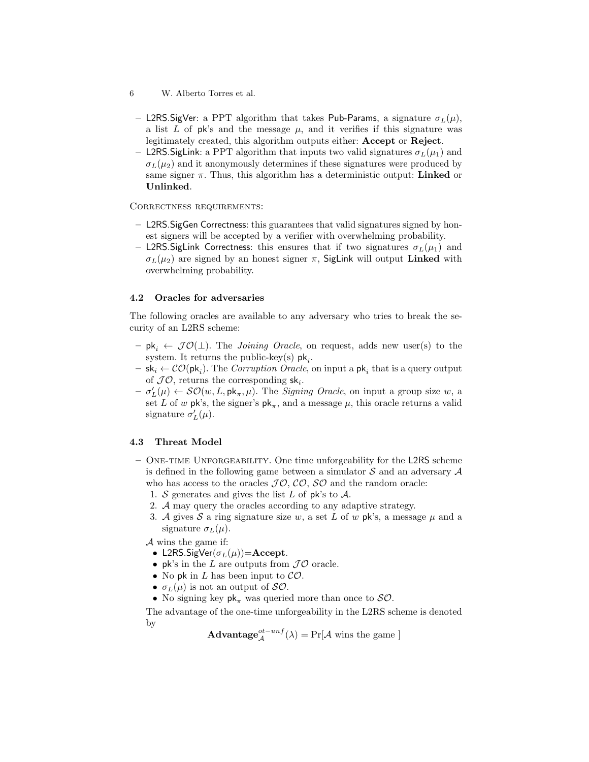- L2RS. SigVer: a PPT algorithm that takes Pub-Params, a signature  $\sigma_L(\mu)$ , a list L of pk's and the message  $\mu$ , and it verifies if this signature was legitimately created, this algorithm outputs either: Accept or Reject.
- **L2RS.SigLink:** a PPT algorithm that inputs two valid signatures  $\sigma_L(\mu_1)$  and  $\sigma_L(\mu_2)$  and it anonymously determines if these signatures were produced by same signer  $\pi$ . Thus, this algorithm has a deterministic output: **Linked** or Unlinked.

Correctness requirements:

- L2RS.SigGen Correctness: this guarantees that valid signatures signed by honest signers will be accepted by a verifier with overwhelming probability.
- L2RS. SigLink Correctness: this ensures that if two signatures  $\sigma_L(\mu_1)$  and  $\sigma_L(\mu_2)$  are signed by an honest signer  $\pi$ , SigLink will output Linked with overwhelming probability.

## 4.2 Oracles for adversaries

The following oracles are available to any adversary who tries to break the security of an L2RS scheme:

- $-$  pk<sub>i</sub>  $\leftarrow$  JO( $\perp$ ). The *Joining Oracle*, on request, adds new user(s) to the system. It returns the public-key(s)  $pk_i$ .
- $-$  sk<sub>i</sub>  $\leftarrow$   $\mathcal{CO}(\mathsf{pk}_i)$ . The *Corruption Oracle*, on input a  $\mathsf{pk}_i$  that is a query output of  $\mathcal{JO}$ , returns the corresponding  $sk_i$ .
- $\sigma'_{L}(\mu) \leftarrow \mathcal{SO}(w, L, \mathsf{pk}_{\pi}, \mu)$ . The *Signing Oracle*, on input a group size w, a set L of w  $\mathsf{pk}$ 's, the signer's  $\mathsf{pk}_{\pi}$ , and a message  $\mu$ , this oracle returns a valid signature  $\sigma_L'(\mu)$ .

## 4.3 Threat Model

- One-time Unforgeability. One time unforgeability for the L2RS scheme is defined in the following game between a simulator  $S$  and an adversary  $A$ who has access to the oracles  $J\mathcal{O}, \mathcal{CO}, \mathcal{SO}$  and the random oracle:
	- 1. S generates and gives the list L of pk's to  $\mathcal{A}$ .
	- 2. A may query the oracles according to any adaptive strategy.
	- 3. A gives S a ring signature size w, a set L of w pk's, a message  $\mu$  and a signature  $\sigma_L(\mu)$ .

A wins the game if:

- L2RS.SigVer( $\sigma_L(\mu)$ )=Accept.
- pk's in the L are outputs from  $J\mathcal{O}$  oracle.
- No pk in  $L$  has been input to  $\mathcal{CO}$ .
- $\sigma_L(\mu)$  is not an output of  $\mathcal{SO}.$
- No signing key  $pk_{\pi}$  was queried more than once to  $SO$ .

The advantage of the one-time unforgeability in the L2RS scheme is denoted by

**Advantage**<sub>A</sub><sup>*ot*-*unf*</sup>(
$$
\lambda
$$
) = Pr[ $A$  wins the game ]

<sup>6</sup> W. Alberto Torres et al.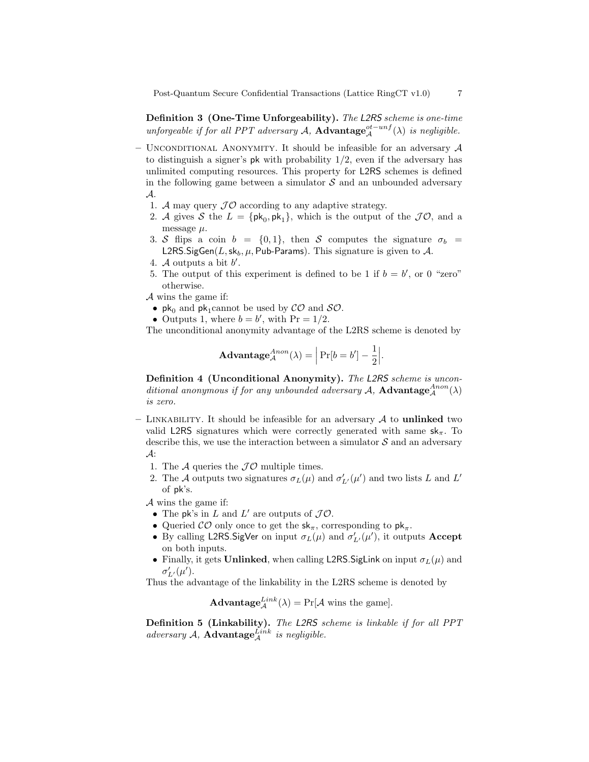Definition 3 (One-Time Unforgeability). The L2RS scheme is one-time unforgeable if for all PPT adversary A, Advantage<sup>ot-unf</sup>( $\lambda$ ) is negligible.

- UNCONDITIONAL ANONYMITY. It should be infeasible for an adversary  $A$ to distinguish a signer's **pk** with probability  $1/2$ , even if the adversary has unlimited computing resources. This property for L2RS schemes is defined in the following game between a simulator  $\mathcal S$  and an unbounded adversary A.
	- 1. A may query  $\mathcal{IO}$  according to any adaptive strategy.
	- 2. A gives S the  $L = \{pk_0, pk_1\}$ , which is the output of the  $J\mathcal{O}$ , and a message  $\mu$ .
	- 3. S flips a coin  $b = \{0, 1\}$ , then S computes the signature  $\sigma_b =$ L2RS.SigGen(L, sk<sub>b</sub>,  $\mu$ , Pub-Params). This signature is given to A.
	- 4. A outputs a bit  $b'$ .
	- 5. The output of this experiment is defined to be 1 if  $b = b'$ , or 0 "zero" otherwise.

 $\mathcal A$  wins the game if:

- $pk_0$  and  $pk_1$ cannot be used by  $\mathcal{CO}$  and  $\mathcal{SO}$ .
- Outputs 1, where  $b = b'$ , with  $Pr = 1/2$ .

The unconditional anonymity advantage of the L2RS scheme is denoted by

$$
\mathbf{Advantage}_{\mathcal{A}}^{Anon}(\lambda) = \left| \Pr[b = b'] - \frac{1}{2} \right|.
$$

Definition 4 (Unconditional Anonymity). The L2RS scheme is unconditional anonymous if for any unbounded adversary A,  $\bf{Advantage}_{\mathcal{A}}^{Anon}(\lambda)$ is zero.

- LINKABILITY. It should be infeasible for an adversary  $A$  to unlinked two valid L2RS signatures which were correctly generated with same  $s_{\pi}$ . To describe this, we use the interaction between a simulator  $\mathcal S$  and an adversary  $\mathcal{A}$ :
	- 1. The A queries the  $\mathcal{J}\mathcal{O}$  multiple times.
	- 2. The A outputs two signatures  $\sigma_L(\mu)$  and  $\sigma'_{L'}(\mu')$  and two lists L and L' of pk's.

A wins the game if:

- The pk's in L and L' are outputs of  $J\mathcal{O}$ .
- Queried  $\mathcal{CO}$  only once to get the  $\mathsf{sk}_{\pi}$ , corresponding to  $\mathsf{pk}_{\pi}$ .
- By calling L2RS. SigVer on input  $\sigma_L(\mu)$  and  $\sigma'_{L'}(\mu')$ , it outputs Accept on both inputs.
- Finally, it gets Unlinked, when calling L2RS. SigLink on input  $\sigma_L(\mu)$  and  $\sigma'_{L'}(\mu').$

Thus the advantage of the linkability in the L2RS scheme is denoted by

**Advantage**<sub>A</sub><sup>*Link*</sup>(
$$
\lambda
$$
) = Pr[ $A$  wins the game].

Definition 5 (Linkability). The L2RS scheme is linkable if for all PPT adversary A,  $\mathbf{Advantage}_{\mathcal{A}}^{Link}$  is negligible.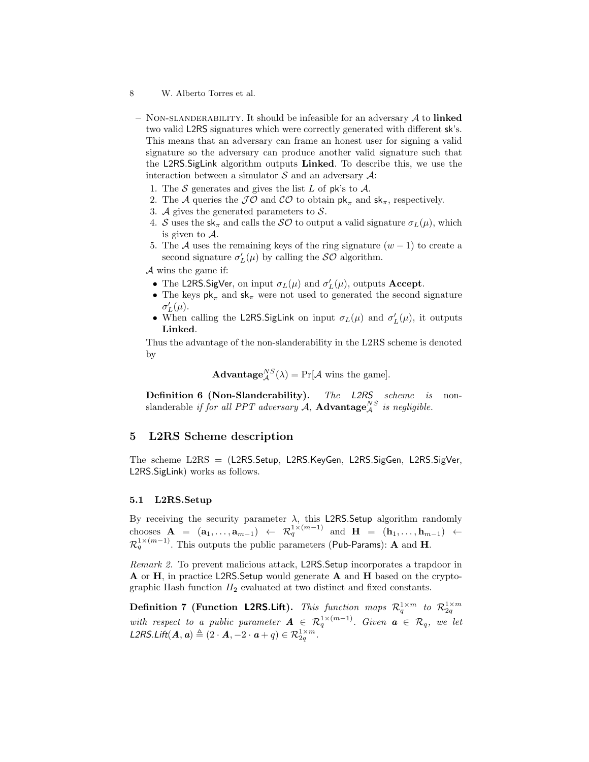- NON-SLANDERABILITY. It should be infeasible for an adversary  $A$  to linked two valid L2RS signatures which were correctly generated with different sk's. This means that an adversary can frame an honest user for signing a valid signature so the adversary can produce another valid signature such that the L2RS.SigLink algorithm outputs Linked. To describe this, we use the interaction between a simulator  $S$  and an adversary  $A$ :
	- 1. The S generates and gives the list L of pk's to  $\mathcal{A}$ .
	- 2. The A queries the  $J\mathcal{O}$  and  $\mathcal{CO}$  to obtain  $\mathsf{pk}_{\pi}$  and  $\mathsf{sk}_{\pi}$ , respectively.
	- 3. A gives the generated parameters to  $S$ .
	- 4. S uses the  $sk_{\pi}$  and calls the SO to output a valid signature  $\sigma_L(\mu)$ , which is given to A.
	- 5. The A uses the remaining keys of the ring signature  $(w 1)$  to create a second signature  $\sigma'_{L}(\mu)$  by calling the  $\mathcal{SO}$  algorithm.

A wins the game if:

- The L2RS. SigVer, on input  $\sigma_L(\mu)$  and  $\sigma_L'(\mu)$ , outputs Accept.
- The keys  $pk_{\pi}$  and  $sk_{\pi}$  were not used to generated the second signature  $\sigma_L'(\mu)$ .
- When calling the L2RS. SigLink on input  $\sigma_L(\mu)$  and  $\sigma'_L(\mu)$ , it outputs Linked.

Thus the advantage of the non-slanderability in the L2RS scheme is denoted by

**Advantage**<sub>A</sub><sup>*NS*</sup>(
$$
\lambda
$$
) = Pr[ $\mathcal{A}$  wins the game].

Definition 6 (Non-Slanderability). The L2RS scheme is nonslanderable if for all PPT adversary A,  $\textbf{Advantage}_{\mathcal{A}}^{NS}$  is negligible.

# 5 L2RS Scheme description

The scheme L2RS = (L2RS.Setup, L2RS.KeyGen, L2RS.SigGen, L2RS.SigVer, L2RS.SigLink) works as follows.

#### 5.1 L2RS.Setup

By receiving the security parameter  $\lambda$ , this L2RS.Setup algorithm randomly chooses  $A = (a_1, \ldots, a_{m-1}) \leftarrow \mathcal{R}_q^{1 \times (m-1)}$  and  $H = (h_1, \ldots, h_{m-1}) \leftarrow$  $\mathcal{R}_q^{1\times (m-1)}.$  This outputs the public parameters (Pub-Params):  $\mathbf A$  and  $\mathbf H.$ 

Remark 2. To prevent malicious attack, L2RS.Setup incorporates a trapdoor in A or H, in practice L2RS.Setup would generate A and H based on the cryptographic Hash function  $H_2$  evaluated at two distinct and fixed constants.

**Definition 7 (Function L2RS.Lift).** This function maps  $\mathcal{R}_q^{1 \times m}$  to  $\mathcal{R}_{2q}^{1 \times m}$ with respect to a public parameter  $A \in \mathcal{R}_q^{1 \times (m-1)}$ . Given  $a \in \mathcal{R}_q$ , we let L2RS.Lift $(\mathbf{A}, \mathbf{a}) \triangleq (2 \cdot \mathbf{A}, -2 \cdot \mathbf{a} + q) \in \mathcal{R}_{2q}^{1 \times m}$ .

<sup>8</sup> W. Alberto Torres et al.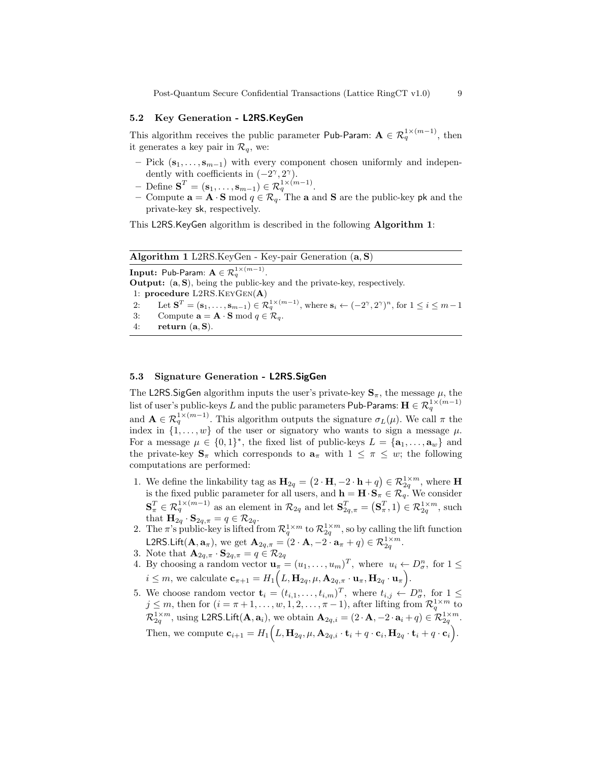Post-Quantum Secure Confidential Transactions (Lattice RingCT v1.0) 9

#### 5.2 Key Generation - L2RS.KeyGen

This algorithm receives the public parameter Pub-Param:  $\mathbf{A} \in \mathcal{R}_q^{1 \times (m-1)}$ , then it generates a key pair in  $\mathcal{R}_q$ , we:

- Pick  $(\mathbf{s}_1, \ldots, \mathbf{s}_{m-1})$  with every component chosen uniformly and independently with coefficients in  $(-2^{\gamma}, 2^{\gamma})$ .
- Define  $\mathbf{S}^T = (\mathbf{s}_1, \dots, \mathbf{s}_{m-1}) \in \mathcal{R}_q^{1 \times (m-1)}$ .
- Compute  $\mathbf{a} = \mathbf{A} \cdot \mathbf{S}$  mod  $q \in \mathcal{R}_q$ . The  $\mathbf{a}$  and  $\mathbf{S}$  are the public-key pk and the private-key sk, respectively.

This L2RS.KeyGen algorithm is described in the following Algorithm 1:

| <b>Algorithm 1</b> L2RS.KeyGen - Key-pair Generation $(a, S)$ |                                                                                                                                                                                      |  |  |  |  |  |
|---------------------------------------------------------------|--------------------------------------------------------------------------------------------------------------------------------------------------------------------------------------|--|--|--|--|--|
|                                                               | <b>Input:</b> Pub-Param: $A \in \mathcal{R}_a^{1 \times (m-1)}$ .                                                                                                                    |  |  |  |  |  |
|                                                               | <b>Output:</b> $(a, S)$ , being the public-key and the private-key, respectively.                                                                                                    |  |  |  |  |  |
|                                                               | 1: procedure L2RS. $KeyGen(A)$                                                                                                                                                       |  |  |  |  |  |
| 2:                                                            | Let $\mathbf{S}^T = (\mathbf{s}_1, \ldots, \mathbf{s}_{m-1}) \in \mathcal{R}_q^{1 \times (m-1)}$ , where $\mathbf{s}_i \leftarrow (-2^\gamma, 2^\gamma)^n$ , for $1 \leq i \leq m-1$ |  |  |  |  |  |
| -3:                                                           | Compute $\mathbf{a} = \mathbf{A} \cdot \mathbf{S} \bmod q \in \mathcal{R}_q$ .                                                                                                       |  |  |  |  |  |
| 4:                                                            | return $(a, S)$ .                                                                                                                                                                    |  |  |  |  |  |

## 5.3 Signature Generation - L2RS.SigGen

The L2RS. SigGen algorithm inputs the user's private-key  $S_{\pi}$ , the message  $\mu$ , the list of user's public-keys  $L$  and the public parameters <code>Pub-Params: H</code>  $\in$   $\mathcal{R}_q^{1\times (m-1)}$ and  $\mathbf{A} \in \mathcal{R}_q^{1 \times (m-1)}$ . This algorithm outputs the signature  $\sigma_L(\mu)$ . We call  $\pi$  the index in  $\{1, \ldots, w\}$  of the user or signatory who wants to sign a message  $\mu$ . For a message  $\mu \in \{0,1\}^*$ , the fixed list of public-keys  $L = {\mathbf{a}_1, ..., \mathbf{a}_w}$  and the private-key  $\mathbf{S}_{\pi}$  which corresponds to  $\mathbf{a}_{\pi}$  with  $1 \leq \pi \leq w$ ; the following computations are performed:

- 1. We define the linkability tag as  $H_{2q} = (2 \cdot H, -2 \cdot h + q) \in \mathcal{R}_{2q}^{1 \times m}$ , where H is the fixed public parameter for all users, and  $\mathbf{h} = \mathbf{H} \cdot \mathbf{S}_{\pi} \in \mathcal{R}_q$ . We consider  $\mathbf{S}_{\pi}^T \in \mathcal{R}_q^{1 \times (m-1)}$  as an element in  $\mathcal{R}_{2q}$  and let  $\mathbf{S}_{2q,\pi}^T = (\mathbf{S}_{\pi}^T,1) \in \mathcal{R}_{2q}^{1 \times m}$ , such that  $\mathbf{H}_{2q} \cdot \mathbf{S}_{2q,\pi} = q \in \mathcal{R}_{2q}$ .
- 2. The  $\pi$ 's public-key is lifted from  $\mathcal{R}_q^{1\times m}$  to  $\mathcal{R}_{2q}^{1\times m}$ , so by calling the lift function L2RS.Lift $(\mathbf{A}, \mathbf{a}_{\pi})$ , we get  $\mathbf{A}_{2q,\pi} = (2 \cdot \mathbf{A}, -2 \cdot \mathbf{a}_{\pi} + q) \in \mathcal{R}_{2q}^{1 \times m}$ .
- 3. Note that  $\mathbf{A}_{2q,\pi} \cdot \mathbf{S}_{2q,\pi} = q \in \mathcal{R}_{2q}$
- 4. By choosing a random vector  $\mathbf{u}_{\pi} = (u_1, \dots, u_m)^T$ , where  $u_i \leftarrow D_{\sigma}^n$ , for  $1 \leq$  $i \leq m$ , we calculate  $\mathbf{c}_{\pi+1} = H_1(L, \mathbf{H}_{2q}, \mu, \mathbf{A}_{2q,\pi} \cdot \mathbf{u}_{\pi}, \mathbf{H}_{2q} \cdot \mathbf{u}_{\pi}).$
- 5. We choose random vector  $\mathbf{t}_i = (t_{i,1}, \ldots, t_{i,m})^T$ , where  $t_{i,j} \leftarrow D_{\sigma}^n$ , for  $1 \leq$  $j \leq m$ , then for  $(i = \pi + 1, \ldots, w, 1, 2, \ldots, \pi - 1)$ , after lifting from  $\mathcal{R}_q^{1 \times m}$  to  $\mathcal{R}_{2q}^{1\times m}$ , using L2RS.Lift $(\mathbf{A}, \mathbf{a}_i)$ , we obtain  $\mathbf{A}_{2q,i} = (2 \cdot \mathbf{A}, -2 \cdot \mathbf{a}_i + q) \in \mathcal{R}_{2q}^{1\times m}$ . Then, we compute  $\mathbf{c}_{i+1} = H_1(L, \mathbf{H}_{2q}, \mu, \mathbf{A}_{2q,i} \cdot \mathbf{t}_i + q \cdot \mathbf{c}_i, \mathbf{H}_{2q} \cdot \mathbf{t}_i + q \cdot \mathbf{c}_i).$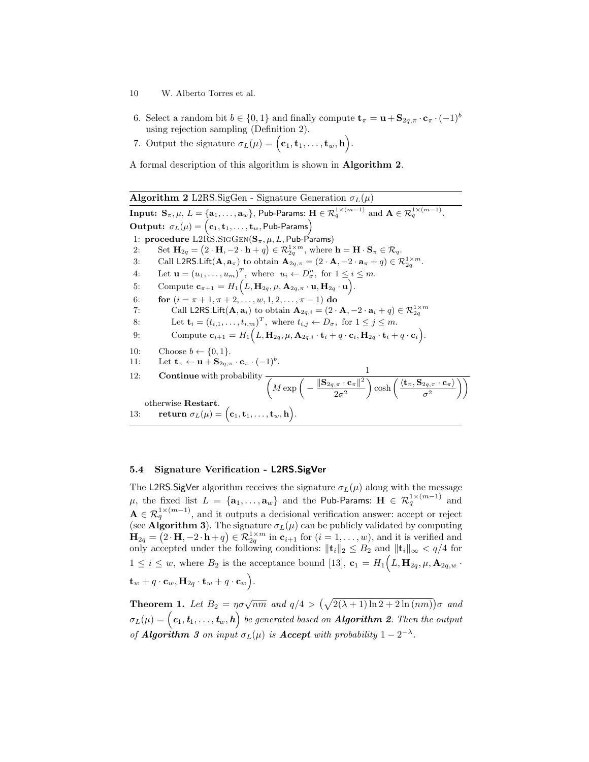- 10 W. Alberto Torres et al.
- 6. Select a random bit  $b \in \{0,1\}$  and finally compute  $\mathbf{t}_{\pi} = \mathbf{u} + \mathbf{S}_{2q,\pi} \cdot \mathbf{c}_{\pi} \cdot (-1)^b$ using rejection sampling (Definition 2).
- 7. Output the signature  $\sigma_L(\mu) = (\mathbf{c}_1, \mathbf{t}_1, \dots, \mathbf{t}_w, \mathbf{h}).$

A formal description of this algorithm is shown in Algorithm 2.

**Algorithm 2** L2RS.SigGen - Signature Generation  $\sigma_L(\mu)$  $\textbf{Input: } \mathbf{S}_{\pi}, \mu, \, L = \{\mathbf{a}_1, \dots, \mathbf{a}_w\}, \, \mathsf{Pub-Params: } \, \mathbf{H} \in \mathcal{R}_q^{1 \times (m-1)} \, \, \text{and} \, \, \mathbf{A} \in \mathcal{R}_q^{1 \times (m-1)}.$  $\textbf{Output:} \ \ \sigma_L(\mu) = \bigl(\textbf{c}_1, \textbf{t}_1, \ldots, \textbf{t}_w, \textsf{Pub-Params}\bigr)$ 1: procedure  $L2\hat{R}S.SIGGEN(S_{\pi}, \mu, L, Pub-Params)$ 2: Set  $\mathbf{H}_{2q} = (2 \cdot \mathbf{H}, -2 \cdot \mathbf{h} + q) \in \mathcal{R}_{2q}^{1 \times m}$ , where  $\mathbf{h} = \mathbf{H} \cdot \mathbf{S}_{\pi} \in \mathcal{R}_q$ . 3: Call L2RS.Lift $(\mathbf{A}, \mathbf{a}_{\pi})$  to obtain  $\mathbf{A}_{2q,\pi} = (2 \cdot \mathbf{A}, -2 \cdot \mathbf{a}_{\pi} + q) \in \mathcal{R}_{2q}^{1 \times m}$ . 4: Let  $\mathbf{u} = (u_1, \dots, u_m)^T$ , where  $u_i \leftarrow D^n_{\sigma}$ , for  $1 \leq i \leq m$ . 5: Compute  $\mathbf{c}_{\pi+1} = H_1(L, \mathbf{H}_{2q}, \mu, \mathbf{A}_{2q,\pi} \cdot \mathbf{u}, \mathbf{H}_{2q} \cdot \mathbf{u}).$ 6: **for**  $(i = \pi + 1, \pi + 2, \ldots, w, 1, 2, \ldots, \pi - 1)$  do 7: Call L2RS.Lift $(\mathbf{A}, \mathbf{a}_i)$  to obtain  $\mathbf{A}_{2q,i} = (2 \cdot \mathbf{A}, -2 \cdot \mathbf{a}_i + q) \in \mathcal{R}_{2q}^{1 \times m}$ 8: Let  $\mathbf{t}_i = (t_{i,1}, \dots, t_{i,m})^T$ , where  $t_{i,j} \leftarrow D_{\sigma}$ , for  $1 \leq j \leq m$ . 9: Compute  $\mathbf{c}_{i+1} = H_1(L, \mathbf{H}_{2q}, \mu, \mathbf{A}_{2q,i} \cdot \mathbf{t}_i + q \cdot \mathbf{c}_i, \mathbf{H}_{2q} \cdot \mathbf{t}_i + q \cdot \mathbf{c}_i).$ 10: Choose  $b \leftarrow \{0, 1\}.$ 11: Let  $\mathbf{t}_{\pi} \leftarrow \mathbf{u} + \mathbf{S}_{2q, \pi} \cdot \mathbf{c}_{\pi} \cdot (-1)^b$ . 12: Continue with probability  $\frac{1}{\left(M \exp \left(-\frac{\left\|\mathbf{S}_{2q,\pi}\cdot\mathbf{c}_{\pi}\right\|^{2}}{\Omega}\right)\right)}$  $2\sigma^2$  $\bigg\} \cosh \bigg( \frac{\langle {\bf t}_\pi, {\bf S}_{2q,\pi} \cdot {\bf c}_\pi \rangle}{2}$  $\sigma^2$  $\setminus$ otherwise Restart. 13: return  $\sigma_L(\mu) = (\mathbf{c}_1, \mathbf{t}_1, \dots, \mathbf{t}_w, \mathbf{h}).$ 

## 5.4 Signature Verification - L2RS.SigVer

The L2RS. SigVer algorithm receives the signature  $\sigma_L(\mu)$  along with the message  $\mu,$  the fixed list  $L$  =  $\{{\bf a}_1,\ldots,{\bf a}_w\}$  and the <code>Pub-Params: H</code>  $\in$   $\mathcal{R}_q^{1\times (m-1)}$  and  $\mathbf{A} \in \mathcal{R}_q^{1 \times (m-1)}$ , and it outputs a decisional verification answer: accept or reject (see **Algorithm 3**). The signature  $\sigma_L(\mu)$  can be publicly validated by computing  $\mathbf{H}_{2q} = (2 \cdot \mathbf{H}, -2 \cdot \mathbf{h} + q) \in \mathcal{R}_{2q}^{1 \times m}$  in  $\mathbf{c}_{i+1}$  for  $(i = 1, \ldots, w)$ , and it is verified and only accepted under the following conditions:  $\|\mathbf{t}_i\|_2 \leq B_2$  and  $\|\mathbf{t}_i\|_{\infty} < q/4$  for  $1 \leq i \leq w$ , where  $B_2$  is the acceptance bound [13],  $\mathbf{c}_1 = H_1(L, \mathbf{H}_{2q}, \mu, \mathbf{A}_{2q,w}$ .  $\mathbf{t}_w + q \cdot \mathbf{c}_w, \mathbf{H}_{2q} \cdot \mathbf{t}_w + q \cdot \mathbf{c}_w \Big).$ 

**Theorem 1.** Let  $B_2 = \eta \sigma \sqrt{nm}$  and  $q/4 > (\sqrt{2(\lambda+1)\ln 2 + 2\ln(nm)})\sigma$  and  $\sigma_L(\mu)=\big(\, {\bm c}_1, {\bm t}_1, \ldots, {\bm t}_w, {\bm h} \big)$  be generated based on  ${\bm A}$ lgorithm 2. Then the output of **Algorithm** 3 on input  $\sigma_L(\mu)$  is **Accept** with probability  $1 - 2^{-\lambda}$ .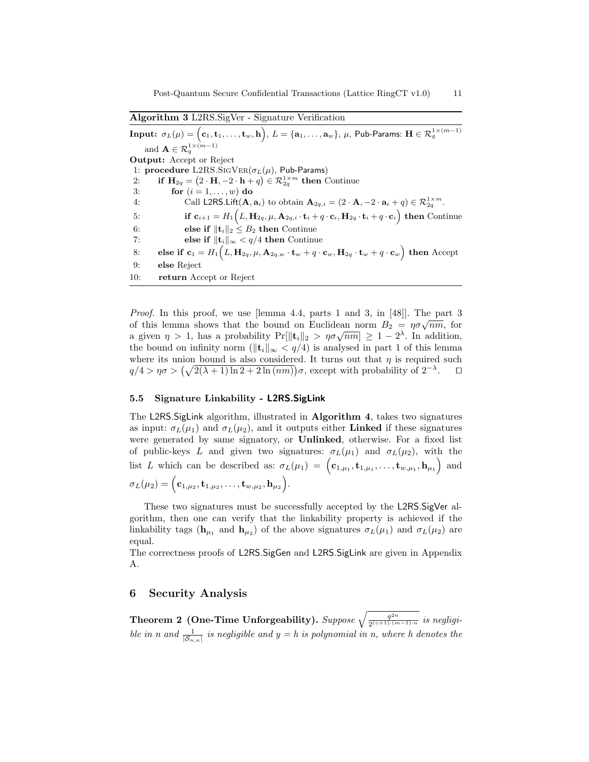Algorithm 3 L2RS.SigVer - Signature Verification

 $\textbf{Input:}~~ \sigma_L(\mu)=\Big(\mathbf{c}_1,\mathbf{t}_1,\ldots,\mathbf{t}_w,\mathbf{h}\Big),\, L=\{\mathbf{a}_1,\ldots,\mathbf{a}_w\},\, \mu,\, \mathsf{Pub-Params:}~\mathbf{H}\in \mathcal{R}_q^{1\times (m-1)}$ and  $\mathbf{A} \in \mathcal{R}_q^{1 \times (m-1)}$ Output: Accept or Reject 1: procedure L2RS.SIGVER( $\sigma_L(\mu)$ , Pub-Params) 2: if  $H_{2q} = (2 \cdot H, -2 \cdot h + q) \in \mathcal{R}_{2q}^{1 \times m}$  then Continue 3: for  $(i = 1, \ldots, w)$  do 4: Call L2RS.Lift $(\mathbf{A}, \mathbf{a}_i)$  to obtain  $\mathbf{A}_{2q,i} = (2 \cdot \mathbf{A}, -2 \cdot \mathbf{a}_i + q) \in \mathcal{R}_{2q}^{1 \times m}$ . 5: if  $\mathbf{c}_{i+1} = H_1(L, \mathbf{H}_{2q}, \mu, \mathbf{A}_{2q,i} \cdot \mathbf{t}_i + q \cdot \mathbf{c}_i, \mathbf{H}_{2q} \cdot \mathbf{t}_i + q \cdot \mathbf{c}_i)$  then Continue 6: else if  $||\mathbf{t}_i||_2 \leq B_2$  then Continue 7: else if  $||\mathbf{t}_i||_{\infty} < q/4$  then Continue  $\text{8:} \qquad \text{else if } \ \mathbf{c}_1 = H_1\Big( L, \mathbf{H}_{2q}, \mu, \mathbf{A}_{2q,w}\cdot \mathbf{t}_w + q\cdot \mathbf{c}_w, \mathbf{H}_{2q}\cdot \mathbf{t}_w + q\cdot \mathbf{c}_w \Big) \text{ then } \text{Accept}$ 9: else Reject 10: return Accept or Reject

Proof. In this proof, we use [lemma 4.4, parts 1 and 3, in [48]]. The part 3 *Troof.* In this proof, we use <u>reminance</u> and a rand of this lemma shows that the bound on Euclidean norm  $B_2 = \eta \sigma \sqrt{nm}$ , for or this lemma shows that the bound on Euchdean horm  $D_2 = \eta o \sqrt{nm}$ , for<br>a given  $\eta > 1$ , has a probability  $Pr[||\mathbf{t}_i||_2 > \eta o \sqrt{nm}] \ge 1 - 2^{\lambda}$ . In addition, the bound on infinity norm ( $\|\mathbf{t}_i\|_{\infty} < q/4$ ) is analysed in part 1 of this lemma where its union bound is also considered. It turns out that  $\eta$  is required such  $q/4 > \eta \sigma > (\sqrt{2(\lambda+1)\ln 2 + 2 \ln(n m)}) \sigma$ , except with probability of  $2^{-\lambda}$  $\Box$ 

#### 5.5 Signature Linkability - L2RS.SigLink

The L2RS.SigLink algorithm, illustrated in Algorithm 4, takes two signatures as input:  $\sigma_L(\mu_1)$  and  $\sigma_L(\mu_2)$ , and it outputs either **Linked** if these signatures were generated by same signatory, or Unlinked, otherwise. For a fixed list of public-keys L and given two signatures:  $\sigma_L(\mu_1)$  and  $\sigma_L(\mu_2)$ , with the list L which can be described as:  $\sigma_L(\mu_1) = (\mathbf{c}_{1,\mu_1}, \mathbf{t}_{1,\mu_1}, \ldots, \mathbf{t}_{w,\mu_1}, \mathbf{h}_{\mu_1})$  and  $\sigma_L(\mu_2) = \Big({\bf c}_{1,\mu_2}, {\bf t}_{1,\mu_2}, \ldots, {\bf t}_{w,\mu_2}, {\bf h}_{\mu_2}\Big).$ 

These two signatures must be successfully accepted by the L2RS.SigVer algorithm, then one can verify that the linkability property is achieved if the linkability tags  $(\mathbf{h}_{\mu_1} \text{ and } \mathbf{h}_{\mu_2})$  of the above signatures  $\sigma_L(\mu_1)$  and  $\sigma_L(\mu_2)$  are equal.

The correctness proofs of L2RS.SigGen and L2RS.SigLink are given in Appendix A.

# 6 Security Analysis

Theorem 2 (One-Time Unforgeability). Suppose  $\sqrt{\frac{q^{2n}}{2(n+1)+(n+1)}}$  $rac{q^{2n}}{2^{(\gamma+1)(m-1)\cdot n}}$  is negligible in n and  $\frac{1}{|\mathcal{S}_{n,\kappa}|}$  is negligible and  $y = h$  is polynomial in n, where h denotes the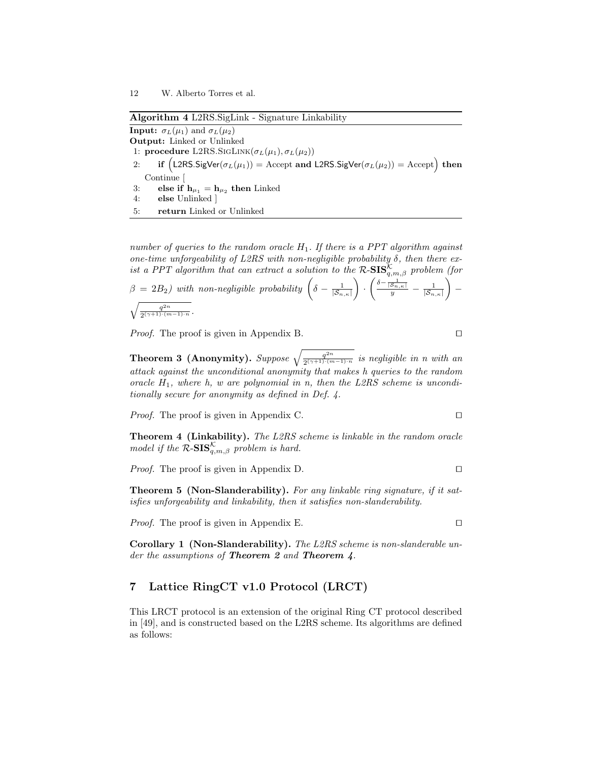Algorithm 4 L2RS.SigLink - Signature Linkability

**Input:**  $\sigma_L(\mu_1)$  and  $\sigma_L(\mu_2)$ Output: Linked or Unlinked 1: procedure L2RS.SIGLINK $(\sigma_L(\mu_1), \sigma_L(\mu_2))$ 2: if  $(L2RS.SigVer(\sigma_L(\mu_1)) = Accept and L2RS.SigVer(\sigma_L(\mu_2)) = Accept)$  then Continue [ 3: else if  $h_{\mu_1} = h_{\mu_2}$  then Linked 4: else Unlinked ] 5: return Linked or Unlinked

number of queries to the random oracle  $H_1$ . If there is a PPT algorithm against one-time unforgeability of L2RS with non-negligible probability  $\delta$ , then there exist a PPT algorithm that can extract a solution to the  $\mathcal{R}\text{-SIS}_{q,m,\beta}^{\mathcal{K}}$  problem (for

$$
\beta = 2B_2) \text{ with non-negligible probability } \left( \delta - \frac{1}{|\mathcal{S}_{n,\kappa}|} \right) \cdot \left( \frac{\delta - \frac{1}{|\mathcal{S}_{n,\kappa}|}}{y} - \frac{1}{|\mathcal{S}_{n,\kappa}|} \right) - \sqrt{\frac{q^{2n}}{2^{(\gamma+1)(m-1)\cdot n}}}.
$$

*Proof.* The proof is given in Appendix B.  $\Box$ 

**Theorem 3 (Anonymity).** Suppose  $\sqrt{\frac{q^{2n}}{2(n+1)\cdot(n)}}$  $rac{q^{2n}}{2^{(\gamma+1)\cdot(m-1)\cdot n}}$  is negligible in n with an attack against the unconditional anonymity that makes h queries to the random oracle  $H_1$ , where h, w are polynomial in n, then the L2RS scheme is unconditionally secure for anonymity as defined in Def. 4.

*Proof.* The proof is given in Appendix C.  $\Box$ 

Theorem 4 (Linkability). The L2RS scheme is linkable in the random oracle model if the  $\mathcal{R}\text{-}\mathbf{SIS}_{q,m,\beta}^{\mathcal{K}}$  problem is hard.

*Proof.* The proof is given in Appendix D.  $\Box$ 

Theorem 5 (Non-Slanderability). For any linkable ring signature, if it satisfies unforgeability and linkability, then it satisfies non-slanderability.

*Proof.* The proof is given in Appendix E.  $\Box$ 

Corollary 1 (Non-Slanderability). The L2RS scheme is non-slanderable under the assumptions of **Theorem 2** and **Theorem 4**.

# 7 Lattice RingCT v1.0 Protocol (LRCT)

This LRCT protocol is an extension of the original Ring CT protocol described in [49], and is constructed based on the L2RS scheme. Its algorithms are defined as follows: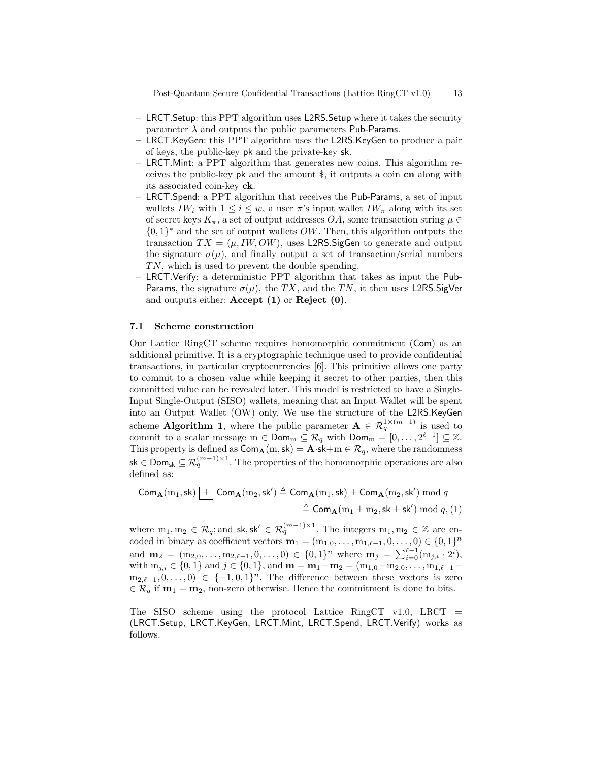Post-Quantum Secure Confidential Transactions (Lattice RingCT v1.0) 13

- LRCT.Setup: this PPT algorithm uses L2RS.Setup where it takes the security parameter  $\lambda$  and outputs the public parameters Pub-Params.
- LRCT.KeyGen: this PPT algorithm uses the L2RS.KeyGen to produce a pair of keys, the public-key pk and the private-key sk.
- LRCT.Mint: a PPT algorithm that generates new coins. This algorithm receives the public-key pk and the amount \$, it outputs a coin cn along with its associated coin-key ck.
- LRCT.Spend: a PPT algorithm that receives the Pub-Params, a set of input wallets  $IW_i$  with  $1 \leq i \leq w$ , a user  $\pi$ 's input wallet  $IW_{\pi}$  along with its set of secret keys  $K_{\pi}$ , a set of output addresses  $OA$ , some transaction string  $\mu \in$  ${0,1}^*$  and the set of output wallets OW. Then, this algorithm outputs the transaction  $TX = (\mu, IW, OW)$ , uses L2RS. SigGen to generate and output the signature  $\sigma(\mu)$ , and finally output a set of transaction/serial numbers  $TN$ , which is used to prevent the double spending.
- LRCT.Verify: a deterministic PPT algorithm that takes as input the Pub-Params, the signature  $\sigma(\mu)$ , the TX, and the TN, it then uses L2RS.SigVer and outputs either: Accept (1) or Reject (0).

#### 7.1 Scheme construction

Our Lattice RingCT scheme requires homomorphic commitment (Com) as an additional primitive. It is a cryptographic technique used to provide confidential transactions, in particular cryptocurrencies [6]. This primitive allows one party to commit to a chosen value while keeping it secret to other parties, then this committed value can be revealed later. This model is restricted to have a Single-Input Single-Output (SISO) wallets, meaning that an Input Wallet will be spent into an Output Wallet (OW) only. We use the structure of the L2RS.KeyGen scheme **Algorithm 1**, where the public parameter  $A \in \mathcal{R}_q^{1 \times (m-1)}$  is used to commit to a scalar message  $m \in \mathsf{Dom}_m \subseteq \mathcal{R}_q$  with  $\mathsf{Dom}_m = [0, \ldots, 2^{\ell-1}] \subseteq \mathbb{Z}$ . This property is defined as  $Com_{\mathbf{A}}(m, s\mathbf{k}) = \mathbf{A} \cdot \mathbf{s} \mathbf{k} + m \in \mathcal{R}_q$ , where the randomness sk ∈ Dom<sub>sk</sub> ⊆  $\mathcal{R}_q^{(m-1)\times 1}$ . The properties of the homomorphic operations are also defined as:

$$
\begin{aligned} \mathsf{Com}_{\mathbf{A}}(m_1,\mathsf{sk}) \,\underline{[\,\pm\,]} \, \mathsf{Com}_{\mathbf{A}}(m_2,\mathsf{sk}') &\triangleq \mathsf{Com}_{\mathbf{A}}(m_1,\mathsf{sk}) \pm \mathsf{Com}_{\mathbf{A}}(m_2,\mathsf{sk}') \bmod q \\ &\triangleq \mathsf{Com}_{\mathbf{A}}(m_1\pm m_2,\mathsf{sk}\pm \mathsf{sk}') \bmod q, (1) \end{aligned}
$$

where  $m_1, m_2 \in \mathcal{R}_q$ ; and  $sk, sk' \in \mathcal{R}_q^{(m-1)\times 1}$ . The integers  $m_1, m_2 \in \mathbb{Z}$  are encoded in binary as coefficient vectors  $\mathbf{m}_1 = (m_{1,0}, \dots, m_{1,\ell-1}, 0, \dots, 0) \in \{0, 1\}^n$ and  $\mathbf{m}_2 = (m_{2,0}, \ldots, m_{2,\ell-1}, 0, \ldots, 0) \in \{0,1\}^n$  where  $\mathbf{m}_j = \sum_{i=0}^{\ell-1} (m_{j,i} \cdot 2^i)$ , with  $m_{j,i} \in \{0,1\}$  and  $j \in \{0,1\}$ , and  $\mathbf{m} = \mathbf{m}_1 - \mathbf{m}_2 = (m_{1,0}-m_{2,0}, \ldots, m_{1,\ell-1}-\mathbf{m}_\ell)$  $m_{2,\ell-1}, 0, \ldots, 0) \in \{-1, 0, 1\}^n$ . The difference between these vectors is zero  $\in \mathcal{R}_q$  if  $\mathbf{m}_1 = \mathbf{m}_2$ , non-zero otherwise. Hence the commitment is done to bits.

The SISO scheme using the protocol Lattice RingCT v1.0, LRCT  $=$ (LRCT.Setup, LRCT.KeyGen, LRCT.Mint, LRCT.Spend, LRCT.Verify) works as follows.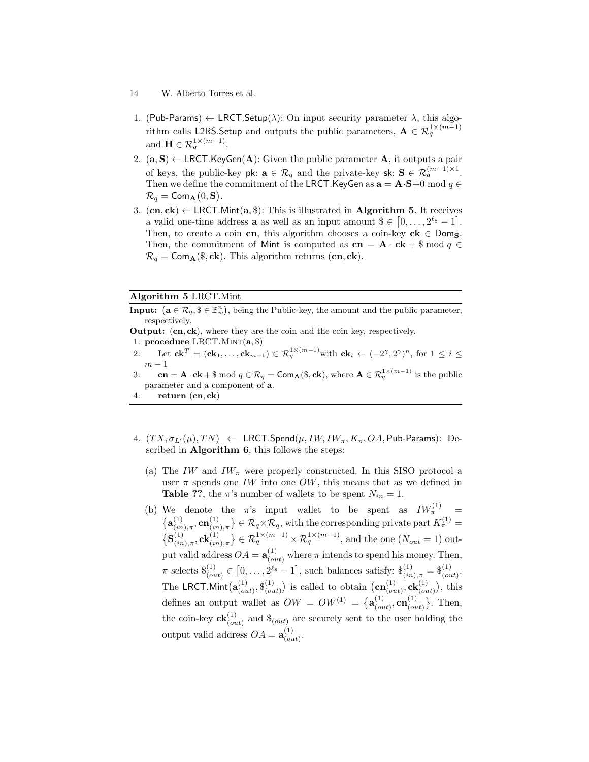- 14 W. Alberto Torres et al.
- 1. (Pub-Params)  $\leftarrow$  LRCT.Setup( $\lambda$ ): On input security parameter  $\lambda$ , this algorithm calls L2RS.Setup and outputs the public parameters,  $\mathbf{A} \in \mathcal{R}_q^{1 \times (m-1)}$ and  $\mathbf{H} \in \mathcal{R}_q^{1 \times (m-1)}$ .
- 2.  $(a, S) \leftarrow \text{LRCT.KeyGen}(A)$ : Given the public parameter A, it outputs a pair of keys, the public-key pk:  $\mathbf{a} \in \mathcal{R}_q$  and the private-key sk:  $\mathbf{S} \in \mathcal{R}_q^{(m-1)\times 1}$ . Then we define the commitment of the LRCT. KeyGen as  $\mathbf{a} = \mathbf{A} \cdot \mathbf{S} + 0 \mod q \in \mathbb{C}$  $\mathcal{R}_q = \mathsf{Com}_{\mathbf{A}}(0, \mathbf{S}).$
- 3.  $(cn, ck) \leftarrow \text{LRCT Mint}(a, $)$ : This is illustrated in **Algorithm 5.** It receives a valid one-time address **a** as well as an input amount  $\$\in [0,\ldots,2^{\ell_{\$}}-1].$ Then, to create a coin cn, this algorithm chooses a coin-key  $ck \in Dom_S$ . Then, the commitment of Mint is computed as  $cn = A \cdot ck + \$ mod q \in$  $\mathcal{R}_q = \text{Com}_{\mathbf{A}}(\$, \mathbf{ck})$ . This algorithm returns  $(\mathbf{cn}, \mathbf{ck})$ .

#### Algorithm 5 LRCT.Mint

**Input:**  $(\mathbf{a} \in \mathcal{R}_q, \mathbf{S} \in \mathbb{B}_{w}^n)$ , being the Public-key, the amount and the public parameter, respectively.

Output: (cn, ck), where they are the coin and the coin key, respectively.

1: procedure LRCT.MINT $(a, \$)$ 

- 2: Let  $\mathbf{ck}^T = (\mathbf{ck}_1, \ldots, \mathbf{ck}_{m-1}) \in \mathcal{R}_q^{1 \times (m-1)}$  with  $\mathbf{ck}_i \leftarrow (-2^{\gamma}, 2^{\gamma})^n$ , for  $1 \leq i \leq$  $m-1$
- 3:  $cn = A \cdot ck + \$ \mod q \in \mathcal{R}_q = \text{Com}_{\mathbf{A}}(\$, ck), \text{ where } \mathbf{A} \in \mathcal{R}_q^{1 \times (m-1)} \text{ is the public }$ parameter and a component of a.

4: return  $(cn, ck)$ 

- 4.  $(T X, \sigma_{L'}(\mu), T N) \leftarrow \text{LRCT-Spend}(\mu, I W, I W_\pi, K_\pi, OA, \text{Pub-Params})$ : Described in **Algorithm 6**, this follows the steps:
	- (a) The IW and  $IW_{\pi}$  were properly constructed. In this SISO protocol a user  $\pi$  spends one IW into one OW, this means that as we defined in **Table ??**, the  $\pi$ 's number of wallets to be spent  $N_{in} = 1$ .
	- (b) We denote the  $\pi$ 's input wallet to be spent as  $IW_{\pi}^{(1)}$  =  $\{ {\bf a}_{\ell in}^{(1)}$  $\{\begin{bmatrix} (1) \ (in),\pi, \mathbf{cn}^{(1)} \ (in),\pi \end{bmatrix} \in \mathcal{R}_q \times \mathcal{R}_q$ , with the corresponding private part  $K_{\pi}^{(1)} =$  $\{S_{\ell i n}^{(1)}\}$  $\{\begin{aligned}^{(1)}_{(in),\pi},\mathbf{ck}_{(in),\pi}^{(1)}\} &\in \mathcal{R}_q^{1\times(m-1)}\times \mathcal{R}_q^{1\times(m-1)}, \text{ and the one } (N_{out}=1) \text{ out-} \end{aligned}$ put valid address  $OA = \mathbf{a}_{(out)}^{(1)}$  where  $\pi$  intends to spend his money. Then,  $\pi$  selects  $\{\}_{(out)}^{(1)} \in [0, \ldots, 2^{\ell_{\$}} - 1]$ , such balances satisfy:  $\{\}_{(in),\pi}^{(1)} = \{\}_{(out)}^{(1)}$ . The LRCT.Mint $(\mathbf{a}_{\alpha}^{(1)})$  $_{(out)}^{(1)}, \$_{(oi)}^{(1)}$  $\binom{(1)}{(out)}$  is called to obtain  $(\mathbf{cn}_{(o)}^{(1)})$  $\left(\begin{smallmatrix} (1) \ (out), \mathbf{ck} (1) \ (out) \end{smallmatrix}\right)$ , this defines an output wallet as  $OW = OW^{(1)} = \{a_{0}^{(1)}\}$  $_{(out)}^{(1)}, \textbf{cn}_{(o)}^{(1)}$  $\{S_{(out)}^{(1)}\}$ . Then, the coin-key  $c\mathbf{k}_{(out)}^{(1)}$  and  $\mathcal{S}_{(out)}$  are securely sent to the user holding the output valid address  $OA = \mathbf{a}_{(o)}^{(1)}$  $_{(out)}^{(1)}$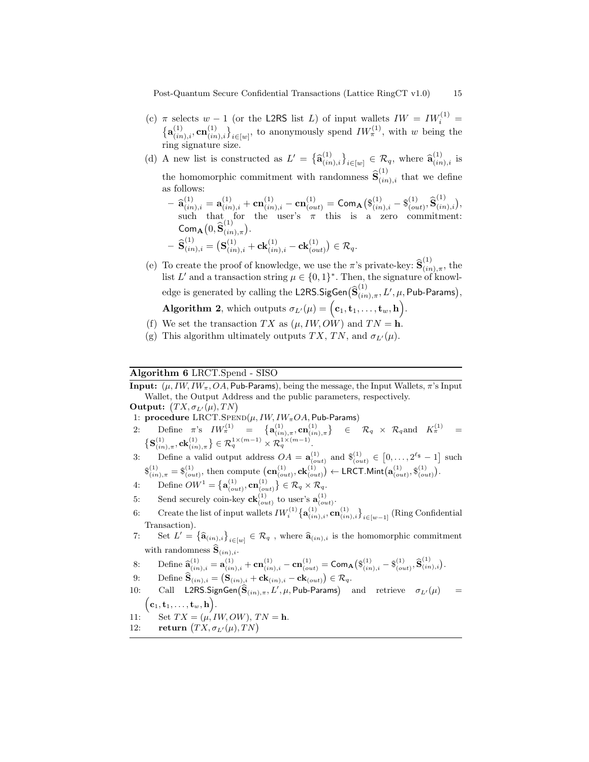Post-Quantum Secure Confidential Transactions (Lattice RingCT v1.0) 15

- (c)  $\pi$  selects  $w 1$  (or the L2RS list L) of input wallets  $IW = IW_i^{(1)}$  =  $\{\mathbf{a}_{(in),i}^{(1)}, \mathbf{cn}_{(in),i}^{(1)}\}_{i \in [w]}$ , to anonymously spend  $IW_{\pi}^{(1)}$ , with w being the ring signature size.
- (d) A new list is constructed as  $L' = {\{\hat{\mathbf{a}}_{(in),i}^{(1)}\}}_{i \in [w]} \in \mathcal{R}_q$ , where  $\hat{\mathbf{a}}_{(in),i}^{(1)}$  is the homomorphic commitment with randomness  $\hat{\mathbf{S}}_{(in),i}^{(1)}$  that we define as follows:
	- $-\hat{\mathbf{a}}_{(in),i}^{(1)} = \mathbf{a}_{(in),i}^{(1)} + \mathbf{cn}_{(in),i}^{(1)} \mathbf{cn}_{(out)}^{(1)} = \mathbf{Com}_{\mathbf{A}} (\mathbf{\$}_{(in),i}^{(1)} \mathbf{\$}_{(on)}^{(1)}$  $_{(out)}^{(1)}, \mathbf{\widehat{S}}_{(in),i}^{(1)}\big),$ such that for the user's  $\pi$  this is a zero commitment:  $\mathsf{Com}_{\mathbf{A}}\big(0,\widehat{\mathbf{S}}^{(1)}_{(in),\pi}\big).$

$$
- \widehat{\mathbf{S}}_{(in),i}^{(1)} = \big(\mathbf{S}_{(in),i}^{(1)} + \mathbf{ck}_{(in),i}^{(1)} - \mathbf{ck}_{(out)}^{(1)}\big) \in \mathcal{R}_q.
$$

(e) To create the proof of knowledge, we use the  $\pi$ 's private-key:  $\hat{\mathbf{S}}_{(in),\pi}^{(1)}$ , the list L' and a transaction string  $\mu \in \{0,1\}^*$ . Then, the signature of knowledge is generated by calling the L2RS.SigGen $\big(\widehat{\textbf{S}}^{(1)}_{(in),\pi},L',\mu,\textsf{Pub-Params}\big),$ **Algorithm 2**, which outputs  $\sigma_{L'}(\mu) = (\mathbf{c}_1, \mathbf{t}_1, \dots, \mathbf{t}_w, \mathbf{h}).$ 

- (f) We set the transaction TX as  $(\mu, I W, O W)$  and TN = h.
- (g) This algorithm ultimately outputs TX, TN, and  $\sigma_{L'}(\mu)$ .

## Algorithm 6 LRCT.Spend - SISO

**Input:**  $(\mu, I W, I W_{\pi}, O A,$  Pub-Params), being the message, the Input Wallets,  $\pi$ 's Input Wallet, the Output Address and the public parameters, respectively.

- Output:  $(TX, \sigma_{L'}(\mu), TN)$
- 1: procedure LRCT.SPEND( $\mu$ , IW, IW<sub> $\pi$ </sub>OA, Pub-Params)
- $2: \text{ Define } \pi \text{'s } \; IW_{\pi}^{(1)} \; = \; \{ \mathbf{a}_{(in),\pi}^{(1)}, \mathbf{cn}_{(in),\pi}^{(1)} \} \; \; \in \; \; \mathcal{R}_q \; \times \; \mathcal{R}_q \text{and } \; K_{\pi}^{(1)} \; = \; \; \;$  $\left\{ \mathbf{S}^{(1)}_{(in),\pi}, \mathbf{ck}^{(1)}_{(in),\pi} \right\} \in \mathcal{R}_q^{1 \times (m-1)} \times \mathcal{R}_q^{1 \times (m-1)}.$

3: Define a valid output address  $OA = \mathbf{a}_{(out)}^{(1)}$  and  $\mathbf{\hat{s}}_{(out)}^{(1)} \in [0, \ldots, 2^{\ell_{\mathbf{\hat{s}}}} - 1]$  such  $\mathcal{S}_{(in),\pi}^{(1)} = \mathcal{S}_{(out)}^{(1)}$ , then compute  $\left( \text{cn}_{(out)}^{(1)}, \text{ck}_{(out)}^{(1)} \right) \leftarrow \text{LRCT Mint} \left( \text{a}_{(out)}^{(1)}, \mathcal{S}_{(out)}^{(1)} \right)$ .

- 4: Define  $OW^1 = \left\{ \mathbf{a}_{(out)}^{(1)}, \mathbf{cn}_{(out)}^{(1)} \right\} \in \mathcal{R}_q \times \mathcal{R}_q$ .
- 5: Send securely coin-key  $\mathbf{ck}_{(out)}^{(1)}$  to user's  $\mathbf{a}_{(out)}^{(1)}$ .
- 6: Create the list of input wallets  $IW_i^{(1)} \{ \mathbf{a}_{(in),i}^{(1)}, \mathbf{cn}_{(in),i}^{(1)} \}_{i \in [w-1]}$  (Ring Confidential Transaction).
- 7: Set  $L' = \{\widehat{\mathbf{a}}_{(in),i}\}_{i \in [w]} \in \mathcal{R}_q$ , where  $\widehat{\mathbf{a}}_{(in),i}$  is the homomorphic commitment with randomness  $\widehat{\mathbf{S}}_{(in),i}$ .

$$
8\colon\quad \ \ \text{Define } \widehat{\mathbf{a}}_{(in),i}^{(1)}=\mathbf{a}_{(in),i}^{(1)}+\mathbf{cn}_{(in),i}^{(1)}-\mathbf{cn}_{(out)}^{(1)}=\mathbf{Com}_{\mathbf{A}}\big(\$_{(in),i}^{(1)}-\$_{(out)}^{(1)},\widehat{\mathbf{S}}_{(in),i}^{(1)}\big).
$$

- 9: Define  $\widehat{\mathbf{S}}_{(in),i} = (\mathbf{S}_{(in),i} + \mathbf{ck}_{(in),i} \mathbf{ck}_{(out)}) \in \mathcal{R}_q$ .
- 10: Call L2RS.SignGen $(\widehat{\mathbf{S}}_{(in),\pi}, L', \mu, \mathsf{Pub}\text{-}\mathsf{Params})$  and retrieve  $\sigma_{L'}(\mu)$  =  $(c_1, \mathbf{t}_1, \ldots, \mathbf{t}_w, \mathbf{h}).$
- 11: Set  $TX = (\mu, IW, OW), TN = h$ .
- 12: return  $(TX, \sigma_{L'}(\mu), TN)$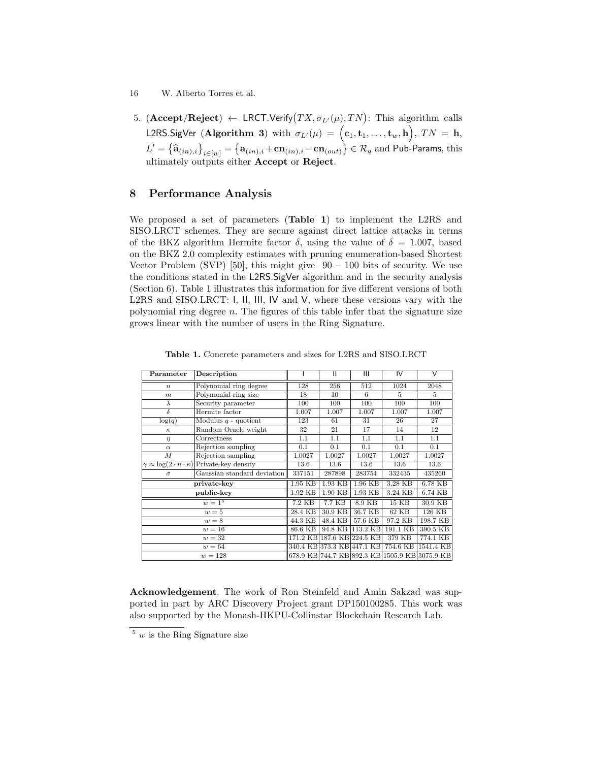- 16 W. Alberto Torres et al.
- 5. ( ${\bf Accept}/{\bf Reject}$ )  $\leftarrow$  LRCT.Verify $(TX, \sigma_{L'}(\mu), TN)$ : This algorithm calls L2RS.SigVer (Algorithm 3) with  $\sigma_{L'}(\mu) \,=\, \Big({\bf c}_1,{\bf t}_1,\ldots,{\bf t}_w,{\bf h} \Big),\; TN \,=\, {\bf h},$  $L' = \left\{ \hat{\mathbf{a}}_{(in),i} \right\}_{i \in [w]} = \left\{ \mathbf{a}_{(in),i} + \mathbf{cn}_{(in),i} - \mathbf{cn}_{(out)} \right\} \in \mathcal{R}_q$  and Pub-Params, this ultimately outputs either **Accept** or **Reject**.

# 8 Performance Analysis

We proposed a set of parameters (Table 1) to implement the L2RS and SISO.LRCT schemes. They are secure against direct lattice attacks in terms of the BKZ algorithm Hermite factor  $\delta$ , using the value of  $\delta = 1.007$ , based on the BKZ 2.0 complexity estimates with pruning enumeration-based Shortest Vector Problem (SVP) [50], this might give  $90 - 100$  bits of security. We use the conditions stated in the L2RS.SigVer algorithm and in the security analysis (Section 6). Table 1 illustrates this information for five different versions of both L2RS and SISO.LRCT: I, II, III, IV and V, where these versions vary with the polynomial ring degree  $n$ . The figures of this table infer that the signature size grows linear with the number of users in the Ring Signature.

| Parameter        | Description                                                       |          | $\mathbf{H}$               | $\mathbf{III}$                                 | IV        | $\vee$ |
|------------------|-------------------------------------------------------------------|----------|----------------------------|------------------------------------------------|-----------|--------|
| $\boldsymbol{n}$ | Polynomial ring degree                                            | 128      | 256                        | 512                                            | 1024      | 2048   |
| m                | Polynomial ring size                                              | 18       | 10                         | 6                                              | 5         | 5      |
| $\lambda$        | Security parameter                                                | 100      | 100                        | 100                                            | 100       | 100    |
| $\delta$         | Hermite factor                                                    | 1.007    | 1.007                      | 1.007                                          | 1.007     | 1.007  |
| log(q)           | Modulus $q$ - quotient                                            | 123      | 61                         | 31                                             | 26        | 27     |
| $\kappa$         | Random Oracle weight                                              | 32       | 21                         | 17                                             | 14        | 12     |
| $\eta$           | Correctness                                                       | 1.1      | 1.1                        | 1.1                                            | 1.1       | 1.1    |
| $\alpha$         | Rejection sampling                                                | 0.1      | 0.1                        | 0.1                                            | 0.1       | 0.1    |
| $\boldsymbol{M}$ | Rejection sampling                                                | 1.0027   | 1.0027                     | 1.0027                                         | 1.0027    | 1.0027 |
|                  | $\gamma \approx \log(2 \cdot n \cdot \kappa)$ Private-key density | 13.6     | 13.6                       | 13.6                                           | 13.6      | 13.6   |
| $\sigma$         | Gaussian standard deviation                                       | 337151   | 287898                     | 283754                                         | 332435    | 435260 |
| private-key      | 1.95 KB                                                           | 1.93 KB  | 1.96 KB                    | 3.28 KB                                        | 6.78 KB   |        |
|                  | 1.92 KB                                                           | 1.90 KB  | 1.93 KB                    | 3.24 KB                                        | 6.74 KB   |        |
|                  | 7.2 KB                                                            | $7.7$ KB | 8.9 KB                     | 15 KB                                          | 30.9 KB   |        |
|                  | 28.4 KB                                                           | 30.9 KB  | 36.7 KB                    | 62 KB                                          | 126 KB    |        |
|                  | 44.3 KB                                                           | 48.4 KB  | 57.6 KB                    | 97.2 KB                                        | 198.7 KB  |        |
|                  | 86.6 KB                                                           | 94.8 KB  | 113.2 KB                   | 191.1 KB                                       | 390.5 KB  |        |
|                  |                                                                   |          | 171.2 KB 187.6 KB 224.5 KB | 379 KB                                         | 774.1 KB  |        |
|                  |                                                                   |          | 340.4 KB 373.3 KB 447.1 KB | 754.6 KB                                       | 1541.4 KB |        |
|                  |                                                                   |          |                            | 678.9 KB 744.7 KB 892.3 KB 1505.9 KB 3075.9 KB |           |        |

Table 1. Concrete parameters and sizes for L2RS and SISO.LRCT

Acknowledgement. The work of Ron Steinfeld and Amin Sakzad was supported in part by ARC Discovery Project grant DP150100285. This work was also supported by the Monash-HKPU-Collinstar Blockchain Research Lab.

 $\frac{5}{y}$  w is the Ring Signature size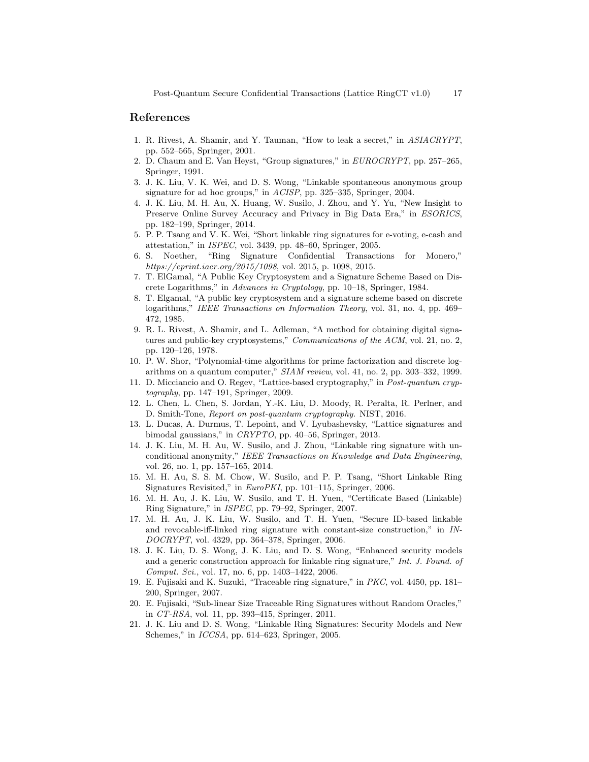## References

- 1. R. Rivest, A. Shamir, and Y. Tauman, "How to leak a secret," in ASIACRYPT, pp. 552–565, Springer, 2001.
- 2. D. Chaum and E. Van Heyst, "Group signatures," in EUROCRYPT, pp. 257–265, Springer, 1991.
- 3. J. K. Liu, V. K. Wei, and D. S. Wong, "Linkable spontaneous anonymous group signature for ad hoc groups," in ACISP, pp. 325–335, Springer, 2004.
- 4. J. K. Liu, M. H. Au, X. Huang, W. Susilo, J. Zhou, and Y. Yu, "New Insight to Preserve Online Survey Accuracy and Privacy in Big Data Era," in ESORICS, pp. 182–199, Springer, 2014.
- 5. P. P. Tsang and V. K. Wei, "Short linkable ring signatures for e-voting, e-cash and attestation," in ISPEC, vol. 3439, pp. 48–60, Springer, 2005.
- 6. S. Noether, "Ring Signature Confidential Transactions for Monero," https://eprint.iacr.org/2015/1098, vol. 2015, p. 1098, 2015.
- 7. T. ElGamal, "A Public Key Cryptosystem and a Signature Scheme Based on Discrete Logarithms," in Advances in Cryptology, pp. 10–18, Springer, 1984.
- 8. T. Elgamal, "A public key cryptosystem and a signature scheme based on discrete logarithms," IEEE Transactions on Information Theory, vol. 31, no. 4, pp. 469– 472, 1985.
- 9. R. L. Rivest, A. Shamir, and L. Adleman, "A method for obtaining digital signatures and public-key cryptosystems," Communications of the ACM, vol. 21, no. 2, pp. 120–126, 1978.
- 10. P. W. Shor, "Polynomial-time algorithms for prime factorization and discrete logarithms on a quantum computer," SIAM review, vol. 41, no. 2, pp. 303–332, 1999.
- 11. D. Micciancio and O. Regev, "Lattice-based cryptography," in Post-quantum cryptography, pp. 147–191, Springer, 2009.
- 12. L. Chen, L. Chen, S. Jordan, Y.-K. Liu, D. Moody, R. Peralta, R. Perlner, and D. Smith-Tone, Report on post-quantum cryptography. NIST, 2016.
- 13. L. Ducas, A. Durmus, T. Lepoint, and V. Lyubashevsky, "Lattice signatures and bimodal gaussians," in CRYPTO, pp. 40–56, Springer, 2013.
- 14. J. K. Liu, M. H. Au, W. Susilo, and J. Zhou, "Linkable ring signature with unconditional anonymity," IEEE Transactions on Knowledge and Data Engineering, vol. 26, no. 1, pp. 157–165, 2014.
- 15. M. H. Au, S. S. M. Chow, W. Susilo, and P. P. Tsang, "Short Linkable Ring Signatures Revisited," in EuroPKI, pp. 101–115, Springer, 2006.
- 16. M. H. Au, J. K. Liu, W. Susilo, and T. H. Yuen, "Certificate Based (Linkable) Ring Signature," in ISPEC, pp. 79–92, Springer, 2007.
- 17. M. H. Au, J. K. Liu, W. Susilo, and T. H. Yuen, "Secure ID-based linkable and revocable-iff-linked ring signature with constant-size construction," in IN-DOCRYPT, vol. 4329, pp. 364–378, Springer, 2006.
- 18. J. K. Liu, D. S. Wong, J. K. Liu, and D. S. Wong, "Enhanced security models and a generic construction approach for linkable ring signature," Int. J. Found. of Comput. Sci., vol. 17, no. 6, pp. 1403–1422, 2006.
- 19. E. Fujisaki and K. Suzuki, "Traceable ring signature," in PKC, vol. 4450, pp. 181– 200, Springer, 2007.
- 20. E. Fujisaki, "Sub-linear Size Traceable Ring Signatures without Random Oracles," in CT-RSA, vol. 11, pp. 393–415, Springer, 2011.
- 21. J. K. Liu and D. S. Wong, "Linkable Ring Signatures: Security Models and New Schemes," in ICCSA, pp. 614–623, Springer, 2005.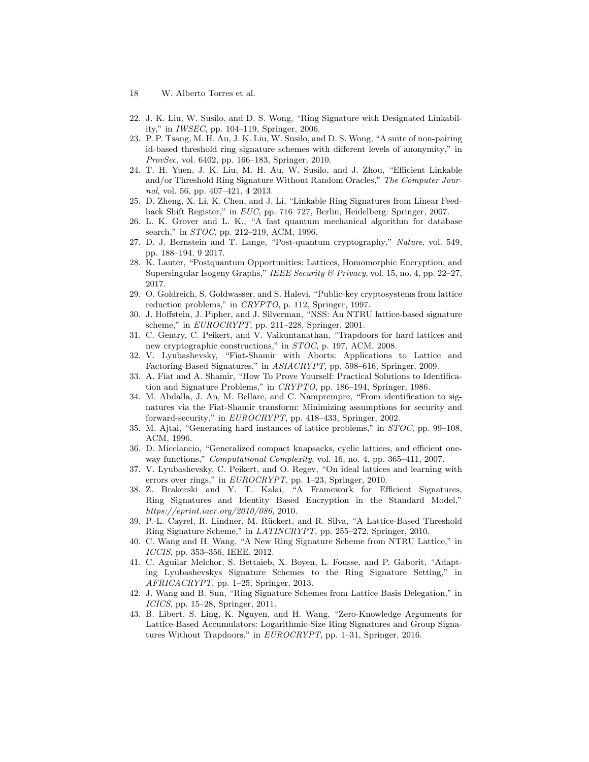- 18 W. Alberto Torres et al.
- 22. J. K. Liu, W. Susilo, and D. S. Wong, "Ring Signature with Designated Linkability," in IWSEC, pp. 104–119, Springer, 2006.
- 23. P. P. Tsang, M. H. Au, J. K. Liu, W. Susilo, and D. S. Wong, "A suite of non-pairing id-based threshold ring signature schemes with different levels of anonymity," in ProvSec, vol. 6402, pp. 166–183, Springer, 2010.
- 24. T. H. Yuen, J. K. Liu, M. H. Au, W. Susilo, and J. Zhou, "Efficient Linkable and/or Threshold Ring Signature Without Random Oracles," The Computer Journal, vol. 56, pp. 407–421, 4 2013.
- 25. D. Zheng, X. Li, K. Chen, and J. Li, "Linkable Ring Signatures from Linear Feedback Shift Register," in EUC, pp. 716–727, Berlin, Heidelberg: Springer, 2007.
- 26. L. K. Grover and L. K., "A fast quantum mechanical algorithm for database search," in STOC, pp. 212–219, ACM, 1996.
- 27. D. J. Bernstein and T. Lange, "Post-quantum cryptography," Nature, vol. 549, pp. 188–194, 9 2017.
- 28. K. Lauter, "Postquantum Opportunities: Lattices, Homomorphic Encryption, and Supersingular Isogeny Graphs," IEEE Security & Privacy, vol. 15, no. 4, pp. 22–27, 2017.
- 29. O. Goldreich, S. Goldwasser, and S. Halevi, "Public-key cryptosystems from lattice reduction problems," in CRYPTO, p. 112, Springer, 1997.
- 30. J. Hoffstein, J. Pipher, and J. Silverman, "NSS: An NTRU lattice-based signature scheme," in  $EUROCRYPT$ , pp. 211–228, Springer, 2001.
- 31. C. Gentry, C. Peikert, and V. Vaikuntanathan, "Trapdoors for hard lattices and new cryptographic constructions," in STOC, p. 197, ACM, 2008.
- 32. V. Lyubashevsky, "Fiat-Shamir with Aborts: Applications to Lattice and Factoring-Based Signatures," in ASIACRYPT, pp. 598–616, Springer, 2009.
- 33. A. Fiat and A. Shamir, "How To Prove Yourself: Practical Solutions to Identification and Signature Problems," in CRYPTO, pp. 186–194, Springer, 1986.
- 34. M. Abdalla, J. An, M. Bellare, and C. Namprempre, "From identification to signatures via the Fiat-Shamir transform: Minimizing assumptions for security and forward-security," in EUROCRYPT, pp. 418–433, Springer, 2002.
- 35. M. Ajtai, "Generating hard instances of lattice problems," in STOC, pp. 99–108, ACM, 1996.
- 36. D. Micciancio, "Generalized compact knapsacks, cyclic lattices, and efficient oneway functions," Computational Complexity, vol. 16, no. 4, pp. 365–411, 2007.
- 37. V. Lyubashevsky, C. Peikert, and O. Regev, "On ideal lattices and learning with errors over rings," in EUROCRYPT, pp. 1–23, Springer, 2010.
- 38. Z. Brakerski and Y. T. Kalai, "A Framework for Efficient Signatures, Ring Signatures and Identity Based Encryption in the Standard Model," https://eprint.iacr.org/2010/086, 2010.
- 39. P.-L. Cayrel, R. Lindner, M. R¨uckert, and R. Silva, "A Lattice-Based Threshold Ring Signature Scheme," in LATINCRYPT, pp. 255–272, Springer, 2010.
- 40. C. Wang and H. Wang, "A New Ring Signature Scheme from NTRU Lattice," in ICCIS, pp. 353–356, IEEE, 2012.
- 41. C. Aguilar Melchor, S. Bettaieb, X. Boyen, L. Fousse, and P. Gaborit, "Adapting Lyubashevskys Signature Schemes to the Ring Signature Setting," in AFRICACRYPT, pp. 1–25, Springer, 2013.
- 42. J. Wang and B. Sun, "Ring Signature Schemes from Lattice Basis Delegation," in ICICS, pp. 15–28, Springer, 2011.
- 43. B. Libert, S. Ling, K. Nguyen, and H. Wang, "Zero-Knowledge Arguments for Lattice-Based Accumulators: Logarithmic-Size Ring Signatures and Group Signatures Without Trapdoors," in EUROCRYPT, pp. 1-31, Springer, 2016.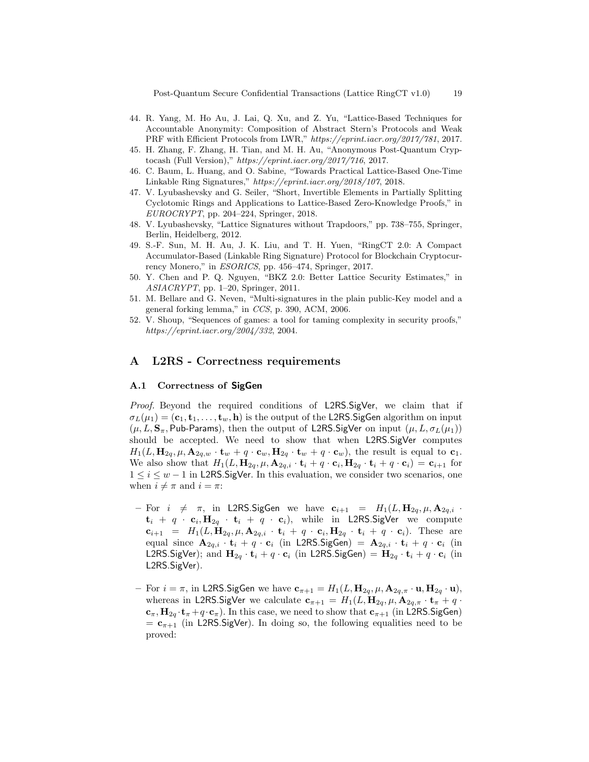Post-Quantum Secure Confidential Transactions (Lattice RingCT v1.0) 19

- 44. R. Yang, M. Ho Au, J. Lai, Q. Xu, and Z. Yu, "Lattice-Based Techniques for Accountable Anonymity: Composition of Abstract Stern's Protocols and Weak PRF with Efficient Protocols from LWR," https://eprint.iacr.org/2017/781, 2017.
- 45. H. Zhang, F. Zhang, H. Tian, and M. H. Au, "Anonymous Post-Quantum Cryptocash (Full Version)," https://eprint.iacr.org/2017/716, 2017.
- 46. C. Baum, L. Huang, and O. Sabine, "Towards Practical Lattice-Based One-Time Linkable Ring Signatures," https://eprint.iacr.org/2018/107, 2018.
- 47. V. Lyubashevsky and G. Seiler, "Short, Invertible Elements in Partially Splitting Cyclotomic Rings and Applications to Lattice-Based Zero-Knowledge Proofs," in  $EUROCRYPT$ , pp. 204–224, Springer, 2018.
- 48. V. Lyubashevsky, "Lattice Signatures without Trapdoors," pp. 738–755, Springer, Berlin, Heidelberg, 2012.
- 49. S.-F. Sun, M. H. Au, J. K. Liu, and T. H. Yuen, "RingCT 2.0: A Compact Accumulator-Based (Linkable Ring Signature) Protocol for Blockchain Cryptocurrency Monero," in ESORICS, pp. 456–474, Springer, 2017.
- 50. Y. Chen and P. Q. Nguyen, "BKZ 2.0: Better Lattice Security Estimates," in ASIACRYPT, pp. 1–20, Springer, 2011.
- 51. M. Bellare and G. Neven, "Multi-signatures in the plain public-Key model and a general forking lemma," in CCS, p. 390, ACM, 2006.
- 52. V. Shoup, "Sequences of games: a tool for taming complexity in security proofs," https://eprint.iacr.org/2004/332, 2004.

# A L2RS - Correctness requirements

#### A.1 Correctness of SigGen

Proof. Beyond the required conditions of L2RS.SigVer, we claim that if  $\sigma_L(\mu_1) = (\mathbf{c}_1, \mathbf{t}_1, \dots, \mathbf{t}_w, \mathbf{h})$  is the output of the L2RS. SigGen algorithm on input  $(\mu, L, \mathbf{S}_{\pi}, \mathsf{Pub}\text{-}\mathsf{Params})$ , then the output of L2RS.SigVer on input  $(\mu, L, \sigma_L(\mu_1))$ should be accepted. We need to show that when L2RS.SigVer computes  $H_1(L, \mathbf{H}_{2q}, \mu, \mathbf{A}_{2q,w} \cdot \mathbf{t}_w + q \cdot \mathbf{c}_w, \mathbf{H}_{2q} \cdot \mathbf{t}_w + q \cdot \mathbf{c}_w)$ , the result is equal to  $\mathbf{c}_1$ . We also show that  $H_1(L, \mathbf{H}_{2q}, \mu, \mathbf{A}_{2q,i} \cdot \mathbf{t}_i + q \cdot \mathbf{c}_i, \mathbf{H}_{2q} \cdot \mathbf{t}_i + q \cdot \mathbf{c}_i) = \mathbf{c}_{i+1}$  for  $1 \leq i \leq w-1$  in L2RS. SigVer. In this evaluation, we consider two scenarios, one when  $i \neq \pi$  and  $i = \pi$ :

- For  $i \neq \pi$ , in L2RS. SigGen we have  $c_{i+1} = H_1(L, H_{2q}, \mu, A_{2q,i}$ .  ${\bf t}_i + q \cdot {\bf c}_i, {\bf H}_{2q} \cdot {\bf t}_i + q \cdot {\bf c}_i$ , while in L2RS.SigVer we compute  $\mathbf{c}_{i+1}$  =  $H_1(L, \mathbf{H}_{2q}, \mu, \mathbf{A}_{2q,i} \cdot \mathbf{t}_i + q \cdot \mathbf{c}_i, \mathbf{H}_{2q} \cdot \mathbf{t}_i + q \cdot \mathbf{c}_i)$ . These are equal since  $\mathbf{A}_{2q,i} \cdot \mathbf{t}_i + q \cdot \mathbf{c}_i$  (in L2RS.SigGen) =  $\mathbf{A}_{2q,i} \cdot \mathbf{t}_i + q \cdot \mathbf{c}_i$  (in L2RS.SigVer); and  $\mathbf{H}_{2q} \cdot \mathbf{t}_i + q \cdot \mathbf{c}_i$  (in L2RS.SigGen) =  $\mathbf{H}_{2q} \cdot \mathbf{t}_i + q \cdot \mathbf{c}_i$  (in L2RS.SigVer).
- For  $i = \pi$ , in L2RS. SigGen we have  $\mathbf{c}_{\pi+1} = H_1(L, \mathbf{H}_{2q}, \mu, \mathbf{A}_{2q,\pi} \cdot \mathbf{u}, \mathbf{H}_{2q} \cdot \mathbf{u}),$ whereas in L2RS.SigVer we calculate  $\mathbf{c}_{\pi+1} = H_1(L, \mathbf{H}_{2q}, \mu, \mathbf{A}_{2q,\pi} \cdot \mathbf{t}_{\pi} + q \cdot \mathbf{A}_{2q,\pi})$  $c_{\pi}$ ,  $H_{2q}$   $t_{\pi} + q \cdot c_{\pi}$ ). In this case, we need to show that  $c_{\pi+1}$  (in L2RS. SigGen)  $=$  c<sub> $\pi+1$ </sub> (in L2RS.SigVer). In doing so, the following equalities need to be proved: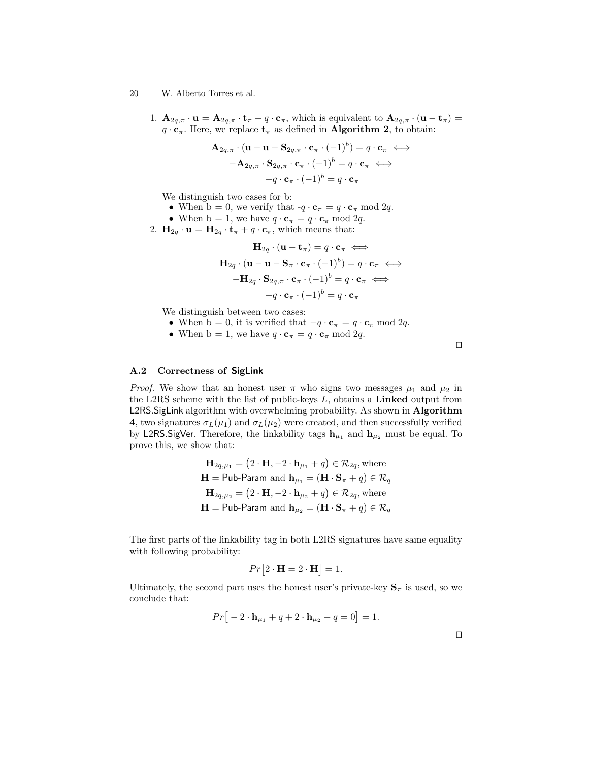- 20 W. Alberto Torres et al.
	- 1.  $\mathbf{A}_{2q,\pi} \cdot \mathbf{u} = \mathbf{A}_{2q,\pi} \cdot \mathbf{t}_{\pi} + q \cdot \mathbf{c}_{\pi}$ , which is equivalent to  $\mathbf{A}_{2q,\pi} \cdot (\mathbf{u} \mathbf{t}_{\pi}) =$  $q \cdot \mathbf{c}_{\pi}$ . Here, we replace  $\mathbf{t}_{\pi}$  as defined in **Algorithm 2**, to obtain:

$$
\mathbf{A}_{2q,\pi} \cdot (\mathbf{u} - \mathbf{u} - \mathbf{S}_{2q,\pi} \cdot \mathbf{c}_{\pi} \cdot (-1)^{b}) = q \cdot \mathbf{c}_{\pi} \iff \n- \mathbf{A}_{2q,\pi} \cdot \mathbf{S}_{2q,\pi} \cdot \mathbf{c}_{\pi} \cdot (-1)^{b} = q \cdot \mathbf{c}_{\pi} \iff \n-q \cdot \mathbf{c}_{\pi} \cdot (-1)^{b} = q \cdot \mathbf{c}_{\pi}
$$

We distinguish two cases for b:

- When  $b = 0$ , we verify that  $-q \cdot \mathbf{c}_{\pi} = q \cdot \mathbf{c}_{\pi} \mod 2q$ .
- When  $b = 1$ , we have  $q \cdot \mathbf{c}_{\pi} = q \cdot \mathbf{c}_{\pi} \mod 2q$ .
- 2.  $\mathbf{H}_{2q} \cdot \mathbf{u} = \mathbf{H}_{2q} \cdot \mathbf{t}_{\pi} + q \cdot \mathbf{c}_{\pi}$ , which means that:

$$
\mathbf{H}_{2q} \cdot (\mathbf{u} - \mathbf{t}_{\pi}) = q \cdot \mathbf{c}_{\pi} \iff \n\mathbf{H}_{2q} \cdot (\mathbf{u} - \mathbf{u} - \mathbf{S}_{\pi} \cdot \mathbf{c}_{\pi} \cdot (-1)^{b}) = q \cdot \mathbf{c}_{\pi} \iff \n-\mathbf{H}_{2q} \cdot \mathbf{S}_{2q, \pi} \cdot \mathbf{c}_{\pi} \cdot (-1)^{b} = q \cdot \mathbf{c}_{\pi} \iff \n-q \cdot \mathbf{c}_{\pi} \cdot (-1)^{b} = q \cdot \mathbf{c}_{\pi}
$$

We distinguish between two cases:

- When  $b = 0$ , it is verified that  $-q \cdot \mathbf{c}_{\pi} = q \cdot \mathbf{c}_{\pi} \mod 2q$ .
- When  $b = 1$ , we have  $q \cdot \mathbf{c}_{\pi} = q \cdot \mathbf{c}_{\pi} \mod 2q$ .

A.2 Correctness of SigLink

*Proof.* We show that an honest user  $\pi$  who signs two messages  $\mu_1$  and  $\mu_2$  in the L2RS scheme with the list of public-keys  $L$ , obtains a Linked output from L2RS.SigLink algorithm with overwhelming probability. As shown in Algorithm 4, two signatures  $\sigma_L(\mu_1)$  and  $\sigma_L(\mu_2)$  were created, and then successfully verified by L2RS. SigVer. Therefore, the linkability tags  $h_{\mu_1}$  and  $h_{\mu_2}$  must be equal. To prove this, we show that:

$$
\mathbf{H}_{2q,\mu_1} = (2 \cdot \mathbf{H}, -2 \cdot \mathbf{h}_{\mu_1} + q) \in \mathcal{R}_{2q}
$$
, where  
\n
$$
\mathbf{H} = \mathsf{Pub}\text{-}\mathsf{Param} \text{ and } \mathbf{h}_{\mu_1} = (\mathbf{H} \cdot \mathbf{S}_{\pi} + q) \in \mathcal{R}_q
$$
\n
$$
\mathbf{H}_{2q,\mu_2} = (2 \cdot \mathbf{H}, -2 \cdot \mathbf{h}_{\mu_2} + q) \in \mathcal{R}_{2q}
$$
, where  
\n
$$
\mathbf{H} = \mathsf{Pub}\text{-}\mathsf{Param} \text{ and } \mathbf{h}_{\mu_2} = (\mathbf{H} \cdot \mathbf{S}_{\pi} + q) \in \mathcal{R}_q
$$

The first parts of the linkability tag in both L2RS signatures have same equality with following probability:

$$
Pr[2 \cdot \mathbf{H} = 2 \cdot \mathbf{H}] = 1.
$$

Ultimately, the second part uses the honest user's private-key  $S_{\pi}$  is used, so we conclude that:

$$
Pr[-2 \cdot \mathbf{h}_{\mu_1} + q + 2 \cdot \mathbf{h}_{\mu_2} - q = 0] = 1.
$$

 $\Box$ 

 $\Box$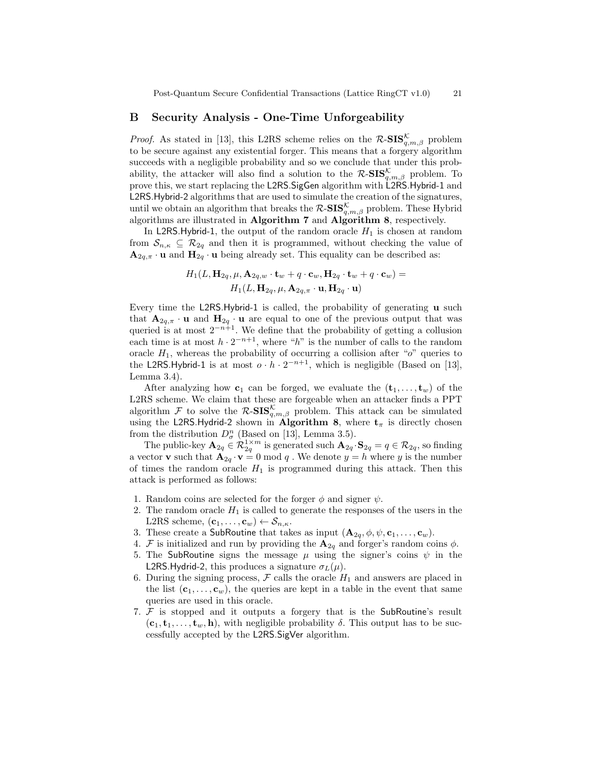# B Security Analysis - One-Time Unforgeability

*Proof.* As stated in [13], this L2RS scheme relies on the  $\mathcal{R}\text{-SIS}_{q,m,\beta}^{\mathcal{K}}$  problem to be secure against any existential forger. This means that a forgery algorithm succeeds with a negligible probability and so we conclude that under this probability, the attacker will also find a solution to the  $\mathcal{R}\text{-SIS}_{q,m,\beta}^{\mathcal{K}}$  problem. To prove this, we start replacing the L2RS.SigGen algorithm with L2RS.Hybrid-1 and L2RS.Hybrid-2 algorithms that are used to simulate the creation of the signatures, until we obtain an algorithm that breaks the  $\mathcal{R}\text{-}\mathbf{SIS}_{q,m,\beta}^{\mathcal{K}}$  problem. These Hybrid algorithms are illustrated in Algorithm 7 and Algorithm 8, respectively.

In L2RS.Hybrid-1, the output of the random oracle  $H_1$  is chosen at random from  $\mathcal{S}_{n,\kappa} \subseteq \mathcal{R}_{2q}$  and then it is programmed, without checking the value of  $\mathbf{A}_{2q,\pi} \cdot \mathbf{u}$  and  $\mathbf{H}_{2q} \cdot \mathbf{u}$  being already set. This equality can be described as:

$$
H_1(L, \mathbf{H}_{2q}, \mu, \mathbf{A}_{2q,w} \cdot \mathbf{t}_w + q \cdot \mathbf{c}_w, \mathbf{H}_{2q} \cdot \mathbf{t}_w + q \cdot \mathbf{c}_w) =
$$
  

$$
H_1(L, \mathbf{H}_{2q}, \mu, \mathbf{A}_{2q,\pi} \cdot \mathbf{u}, \mathbf{H}_{2q} \cdot \mathbf{u})
$$

Every time the L2RS.Hybrid-1 is called, the probability of generating u such that  $\mathbf{A}_{2q,\pi} \cdot \mathbf{u}$  and  $\mathbf{H}_{2q} \cdot \mathbf{u}$  are equal to one of the previous output that was queried is at most  $2^{-n+1}$ . We define that the probability of getting a collusion each time is at most  $h \cdot 2^{-n+1}$ , where "h" is the number of calls to the random oracle  $H_1$ , whereas the probability of occurring a collision after " $o$ " queries to the L2RS.Hybrid-1 is at most  $o \cdot h \cdot 2^{-n+1}$ , which is negligible (Based on [13], Lemma 3.4).

After analyzing how  $c_1$  can be forged, we evaluate the  $(t_1, \ldots, t_w)$  of the L2RS scheme. We claim that these are forgeable when an attacker finds a PPT algorithm F to solve the  $\mathcal{R}\text{-SIS}_{q,m,\beta}^{\mathcal{K}}$  problem. This attack can be simulated using the L2RS.Hydrid-2 shown in Algorithm 8, where  $t_{\pi}$  is directly chosen from the distribution  $D_{\sigma}^{n}$  (Based on [13], Lemma 3.5).

The public-key  $\mathbf{A}_{2q} \in \mathcal{R}_{2q}^{1 \times m}$  is generated such  $\mathbf{A}_{2q} \cdot \mathbf{S}_{2q} = q \in \mathcal{R}_{2q}$ , so finding a vector **v** such that  $\mathbf{A}_{2q} \cdot \mathbf{v} = 0 \text{ mod } q$ . We denote  $y = h$  where y is the number of times the random oracle  $H_1$  is programmed during this attack. Then this attack is performed as follows:

- 1. Random coins are selected for the forger  $\phi$  and signer  $\psi$ .
- 2. The random oracle  $H_1$  is called to generate the responses of the users in the L2RS scheme,  $(\mathbf{c}_1, \ldots, \mathbf{c}_w) \leftarrow \mathcal{S}_{n,\kappa}$ .
- 3. These create a SubRoutine that takes as input  $(\mathbf{A}_{2q}, \phi, \psi, \mathbf{c}_1, \dots, \mathbf{c}_w)$ .
- 4. F is initialized and run by providing the  $\mathbf{A}_{2q}$  and forger's random coins  $\phi$ .
- 5. The SubRoutine signs the message  $\mu$  using the signer's coins  $\psi$  in the L2RS.Hydrid-2, this produces a signature  $\sigma_L(\mu)$ .
- 6. During the signing process,  $\mathcal F$  calls the oracle  $H_1$  and answers are placed in the list  $(c_1, \ldots, c_w)$ , the queries are kept in a table in the event that same queries are used in this oracle.
- 7. F is stopped and it outputs a forgery that is the SubRoutine's result  $(c_1, t_1, \ldots, t_w, h)$ , with negligible probability  $\delta$ . This output has to be successfully accepted by the L2RS.SigVer algorithm.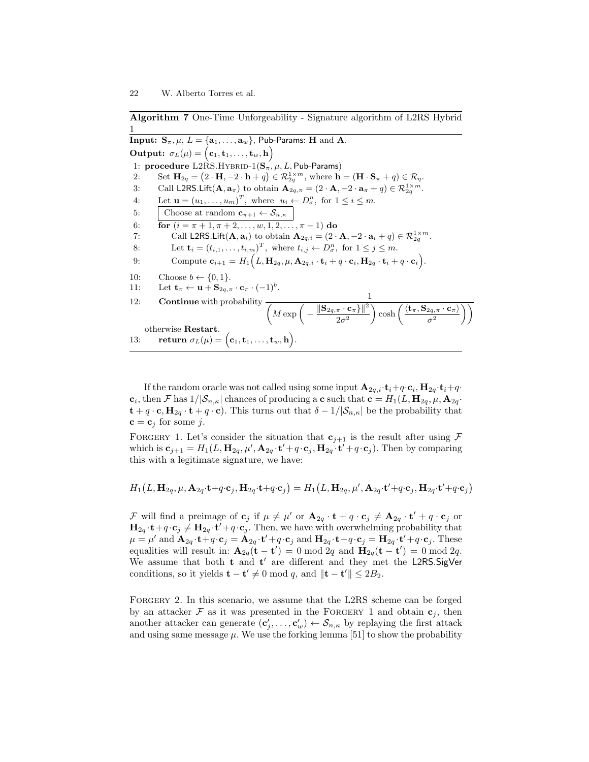Algorithm 7 One-Time Unforgeability - Signature algorithm of L2RS Hybrid 1

Input:  $\mathbf{S}_{\pi}$ ,  $\mu$ ,  $L = {\mathbf{a}_1, \dots, \mathbf{a}_w}$ , Pub-Params: H and A.  $\textbf{Output:} \ \ \sigma_L(\mu) = \big( \mathbf{c}_1, \mathbf{t}_1, \ldots, \mathbf{t}_w, \mathbf{h} \big)$ 1: procedure  $L2RS.HYBRID-1(S_{\pi}, \mu, L, Pub-Params)$ 2: Set  $\mathbf{H}_{2q} = (2 \cdot \mathbf{H}, -2 \cdot \mathbf{h} + q) \in \mathcal{R}_{2q}^{1 \times m}$ , where  $\mathbf{h} = (\mathbf{H} \cdot \mathbf{S}_{\pi} + q) \in \mathcal{R}_{q}$ . 3: Call L2RS.Lift $(\mathbf{A}, \mathbf{a}_{\pi})$  to obtain  $\mathbf{A}_{2q,\pi} = (2 \cdot \mathbf{A}, -2 \cdot \mathbf{a}_{\pi} + q) \in \mathcal{R}_{2q}^{1 \times m}$ . 4: Let  $\mathbf{u} = (u_1, \dots, u_m)^T$ , where  $u_i \leftarrow D^n_{\sigma}$ , for  $1 \leq i \leq m$ . 5: Choose at random  $\mathbf{c}_{\pi+1} \leftarrow \mathcal{S}_{n,\kappa}$ 6: **for**  $(i = \pi + 1, \pi + 2, \ldots, w, 1, 2, \ldots, \pi - 1)$  do 7: Call L2RS.Lift $(\mathbf{A}, \mathbf{a}_i)$  to obtain  $\mathbf{A}_{2q,i} = (2 \cdot \mathbf{A}, -2 \cdot \mathbf{a}_i + q) \in \mathcal{R}_{2q}^{1 \times m}$ . 8: Let  $\mathbf{t}_i = (t_{i,1}, \dots, t_{i,m})^T$ , where  $t_{i,j} \leftarrow D^n_{\sigma}$ , for  $1 \leq j \leq m$ . 9: Compute  $\mathbf{c}_{i+1} = H_1(L, \mathbf{H}_{2q}, \mu, \mathbf{A}_{2q,i} \cdot \mathbf{t}_i + q \cdot \mathbf{c}_i, \mathbf{H}_{2q} \cdot \mathbf{t}_i + q \cdot \mathbf{c}_i).$ 10: Choose  $b \leftarrow \{0, 1\}.$ 11: Let  $\mathbf{t}_{\pi} \leftarrow \mathbf{u} + \mathbf{S}_{2q, \pi} \cdot \mathbf{c}_{\pi} \cdot (-1)^b$ . 12: **Continue** with probability  $\frac{1}{\left(M \exp \left(-\frac{\left\|\mathbf{S}_{2q,\pi} \cdot \mathbf{c}_{\pi}\right\}\right\|^2}{2}\right)^2}$  $2\sigma^2$  $\bigg\langle \cosh\left(\frac{\langle {\bf t}_\pi, {\bf S}_{2q,\pi}\cdot {\bf c}_\pi\rangle}{2}\right) \right\rangle$  $\sigma^2$  $\setminus$ otherwise Restart. 13: return  $\sigma_L(\mu) = (\mathbf{c}_1, \mathbf{t}_1, \dots, \mathbf{t}_w, \mathbf{h}).$ 

If the random oracle was not called using some input  $\mathbf{A}_{2q,i} \cdot \mathbf{t}_i + q \cdot \mathbf{c}_i, \mathbf{H}_{2q} \cdot \mathbf{t}_i + q \cdot \mathbf{c}_i$  $\mathbf{c}_i$ , then F has  $1/|\mathcal{S}_{n,\kappa}|$  chances of producing a  $\mathbf{c}$  such that  $\mathbf{c} = H_1(L, \mathbf{H}_{2q}, \mu, \mathbf{A}_{2q})$ .  $\mathbf{t} + q \cdot \mathbf{c}, \mathbf{H}_{2q} \cdot \mathbf{t} + q \cdot \mathbf{c}$ . This turns out that  $\delta - 1/|\mathcal{S}_{n,\kappa}|$  be the probability that  $\mathbf{c} = \mathbf{c}_j$  for some j.

FORGERY 1. Let's consider the situation that  $c_{j+1}$  is the result after using F which is  $\mathbf{c}_{j+1} = H_1(L, \mathbf{H}_{2q}, \mu', \mathbf{A}_{2q} \cdot \mathbf{t}' + q \cdot \mathbf{c}_j, \mathbf{H}_{2q} \cdot \mathbf{t}' + q \cdot \mathbf{c}_j)$ . Then by comparing this with a legitimate signature, we have:

$$
H_1(L, \mathbf{H}_{2q}, \mu, \mathbf{A}_{2q} \cdot \mathbf{t} + q \cdot \mathbf{c}_j, \mathbf{H}_{2q} \cdot \mathbf{t} + q \cdot \mathbf{c}_j) = H_1(L, \mathbf{H}_{2q}, \mu', \mathbf{A}_{2q} \cdot \mathbf{t}' + q \cdot \mathbf{c}_j, \mathbf{H}_{2q} \cdot \mathbf{t}' + q \cdot \mathbf{c}_j)
$$

F will find a preimage of  $\mathbf{c}_j$  if  $\mu \neq \mu'$  or  $\mathbf{A}_{2q} \cdot \mathbf{t} + q \cdot \mathbf{c}_j \neq \mathbf{A}_{2q} \cdot \mathbf{t}' + q \cdot \mathbf{c}_j$  or  $H_{2q} \cdot \mathbf{t} + q \cdot \mathbf{c}_j \neq \mathbf{H}_{2q} \cdot \mathbf{t}' + q \cdot \mathbf{c}_j$ . Then, we have with overwhelming probability that  $\mu = \mu'$  and  ${\bf A}_{2q} \cdot {\bf t} + q \cdot {\bf c}_j = {\bf A}_{2q} \cdot {\bf t}' + q \cdot {\bf c}_j$  and  ${\bf H}_{2q} \cdot {\bf t} + q \cdot {\bf c}_j = {\bf H}_{2q} \cdot {\bf t}' + q \cdot {\bf c}_j$ . These equalities will result in:  $\mathbf{A}_{2q}(\mathbf{t} - \mathbf{t}') = 0 \mod 2q$  and  $\mathbf{H}_{2q}(\mathbf{t} - \mathbf{t}') = 0 \mod 2q$ . We assume that both  $t$  and  $t'$  are different and they met the L2RS.SigVer conditions, so it yields  $\mathbf{t} - \mathbf{t}' \neq 0 \mod q$ , and  $\|\mathbf{t} - \mathbf{t}'\| \leq 2B_2$ .

FORGERY 2. In this scenario, we assume that the L2RS scheme can be forged by an attacker  $\mathcal F$  as it was presented in the FORGERY 1 and obtain  $\mathbf{c}_j$ , then another attacker can generate  $(c'_j, \ldots, c'_w) \leftarrow S_{n,\kappa}$  by replaying the first attack and using same message  $\mu$ . We use the forking lemma [51] to show the probability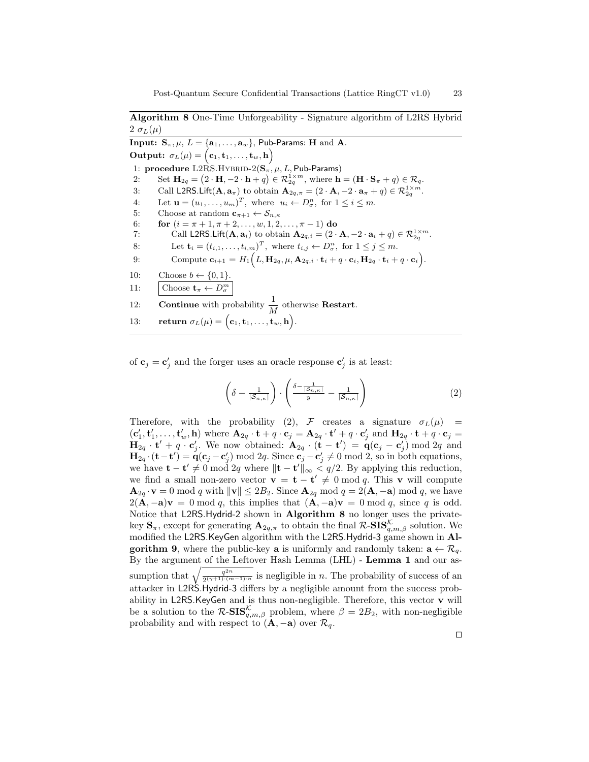Algorithm 8 One-Time Unforgeability - Signature algorithm of L2RS Hybrid  $2 \sigma_L(\mu)$ 

**Input:**  $S_{\pi}, \mu, L = \{a_1, \ldots, a_w\}$ , Pub-Params: H and A.  $\textbf{Output:} \ \ \sigma_L(\mu) = \big( \mathbf{c}_1, \mathbf{t}_1, \ldots, \mathbf{t}_w, \mathbf{h} \big)$ 1: procedure  $L2RS.HYBRID-2(S_{\pi}, \mu, L, Pub-Params)$ 2: Set  $\mathbf{H}_{2q} = (2 \cdot \mathbf{H}, -2 \cdot \mathbf{h} + q) \in \mathcal{R}_{2q}^{1 \times m}$ , where  $\mathbf{h} = (\mathbf{H} \cdot \mathbf{S}_{\pi} + q) \in \mathcal{R}_{q}$ . 3: Call L2RS.Lift( $\mathbf{A}, \mathbf{a}_{\pi}$ ) to obtain  $\mathbf{A}_{2q,\pi} = (2 \cdot \mathbf{A}, -2 \cdot \mathbf{a}_{\pi} + q) \in \mathcal{R}_{2q}^{1 \times m}$ . 4: Let  $\mathbf{u} = (u_1, \dots, u_m)^T$ , where  $u_i \leftarrow D^n_{\sigma}$ , for  $1 \leq i \leq m$ . 5: Choose at random  $\mathbf{c}_{\pi+1} \leftarrow \mathcal{S}_{n,\kappa}$ 6: **for**  $(i = \pi + 1, \pi + 2, \ldots, w, 1, 2, \ldots, \pi - 1)$  do 7: Call L2RS.Lift $(\mathbf{A}, \mathbf{a}_i)$  to obtain  $\mathbf{A}_{2q,i} = (2 \cdot \mathbf{A}, -2 \cdot \mathbf{a}_i + q) \in \mathcal{R}_{2q}^{1 \times m}$ . 8: Let  $\mathbf{t}_i = (t_{i,1}, \dots, t_{i,m})^T$ , where  $t_{i,j} \leftarrow D_{\sigma}^n$ , for  $1 \leq j \leq m$ . 9: Compute  $\mathbf{c}_{i+1} = H_1(L, \mathbf{H}_{2q}, \mu, \mathbf{A}_{2q,i} \cdot \mathbf{t}_i + q \cdot \mathbf{c}_i, \mathbf{H}_{2q} \cdot \mathbf{t}_i + q \cdot \mathbf{c}_i).$ 10: Choose  $b \leftarrow \{0, 1\}.$ 11: Choose  $\mathbf{t}_{\pi} \leftarrow D_{\sigma}^{m}$ 12: **Continue** with probability  $\frac{1}{M}$  otherwise **Restart**. 13: return  $\sigma_L(\mu) = (\mathbf{c}_1, \mathbf{t}_1, \dots, \mathbf{t}_w, \mathbf{h}).$ 

% of  $\mathbf{c}_j = \mathbf{c}'_j$  and the forger uses an oracle response  $\mathbf{c}'_j$  is at least:

$$
\left(\delta - \frac{1}{|\mathcal{S}_{n,\kappa}|}\right) \cdot \left(\frac{\delta - \frac{1}{|\mathcal{S}_{n,\kappa}|}}{y} - \frac{1}{|\mathcal{S}_{n,\kappa}|}\right) \tag{2}
$$

 $\Box$ 

Therefore, with the probability (2),  $\mathcal F$  creates a signature  $\sigma_L(\mu)$  =  $(c'_1, t'_1, \ldots, t'_w, h)$  where  $A_{2q} \cdot t + q \cdot c_j = A_{2q} \cdot t' + q \cdot c'_j$  and  $H_{2q} \cdot t + q \cdot c_j =$  $\mathbf{H}_{2q} \cdot \mathbf{t}' + q \cdot \mathbf{c}'_j$ . We now obtained:  $\mathbf{A}_{2q} \cdot (\mathbf{t} - \mathbf{t}') = \mathbf{q}(\mathbf{c}_j - \mathbf{c}'_j) \bmod 2q$  and  $\mathbf{H}_{2q} \cdot (\mathbf{t} - \mathbf{t}') = \mathbf{q}(\mathbf{c}_j - \mathbf{c}'_j) \bmod 2q$ . Since  $\mathbf{c}_j - \mathbf{c}'_j \neq 0 \bmod 2$ , so in both equations, we have  $\mathbf{t} - \mathbf{t}' \neq 0 \mod 2q$  where  $\|\mathbf{t} - \mathbf{t}'\|_{\infty} < q/2$ . By applying this reduction, we find a small non-zero vector  $\mathbf{v} = \mathbf{t} - \mathbf{t}' \neq 0 \mod q$ . This v will compute  $\mathbf{A}_{2q} \cdot \mathbf{v} = 0 \bmod q$  with  $\|\mathbf{v}\| \leq 2B_2$ . Since  $\mathbf{A}_{2q} \mod q = 2(\mathbf{A}, -\mathbf{a}) \mod q$ , we have  $2(\mathbf{A}, -\mathbf{a})\mathbf{v} = 0 \bmod q$ , this implies that  $(\mathbf{A}, -\mathbf{a})\mathbf{v} = 0 \bmod q$ , since q is odd. Notice that L2RS.Hydrid-2 shown in Algorithm 8 no longer uses the privatekey  $\mathbf{S}_{\pi}$ , except for generating  $\mathbf{A}_{2q,\pi}$  to obtain the final  $\mathcal{R}\text{-}\mathbf{SIS}_{q,m,\beta}^{\mathcal{K}}$  solution. We modified the L2RS.KeyGen algorithm with the L2RS.Hydrid-3 game shown in Algorithm 9, where the public-key a is uniformly and randomly taken:  $a \leftarrow \mathcal{R}_q$ . By the argument of the Leftover Hash Lemma (LHL) - Lemma 1 and our assumption that  $\sqrt{\frac{q^{2n}}{2(\gamma+1)\cdot(n)}}$  $\frac{q^{2n}}{2^{(\gamma+1)(m-1)\cdot n}}$  is negligible in *n*. The probability of success of an attacker in L2RS.Hydrid-3 differs by a negligible amount from the success probability in L2RS.KeyGen and is thus non-negligible. Therefore, this vector v will be a solution to the  $\mathcal{R}\text{-SIS}_{q,m,\beta}^{\mathcal{K}}$  problem, where  $\beta = 2B_2$ , with non-negligible probability and with respect to  $(\mathbf{A}, -\mathbf{a})$  over  $\mathcal{R}_q$ .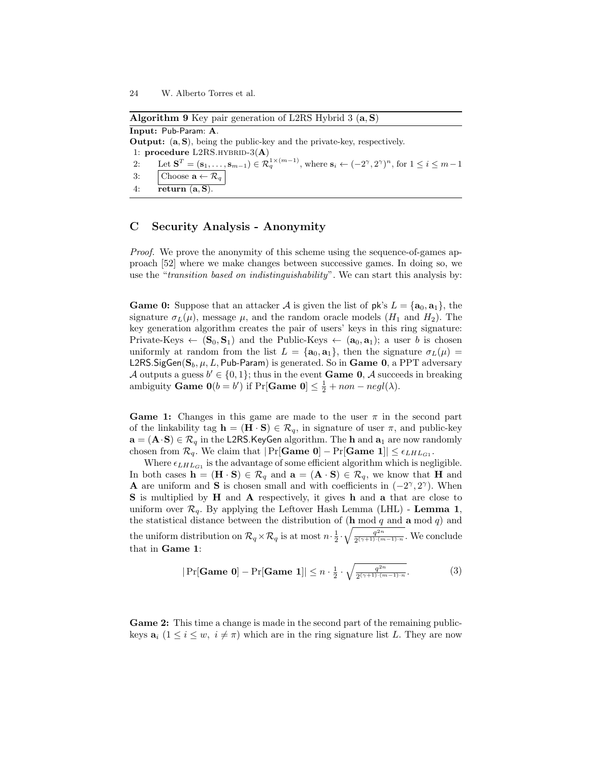Algorithm 9 Key pair generation of L2RS Hybrid 3 (a, S) Input: Pub-Param: A. Output: (a, S), being the public-key and the private-key, respectively. 1: procedure  $L2RS.HYBRID-3(A)$ 2: Let  $\mathbf{S}^T = (\mathbf{s}_1, \dots, \mathbf{s}_{m-1}) \in \mathcal{R}_q^{1 \times (m-1)}$ , where  $\mathbf{s}_i \leftarrow (-2^{\gamma}, 2^{\gamma})^n$ , for  $1 \le i \le m-1$ 3: Choose  $\mathbf{a} \leftarrow \mathcal{R}_q$ 4: return  $(a, S)$ .

# C Security Analysis - Anonymity

Proof. We prove the anonymity of this scheme using the sequence-of-games approach [52] where we make changes between successive games. In doing so, we use the "transition based on indistinguishability". We can start this analysis by:

**Game 0:** Suppose that an attacker A is given the list of  $pk's L = \{a_0, a_1\}$ , the signature  $\sigma_L(\mu)$ , message  $\mu$ , and the random oracle models  $(H_1 \text{ and } H_2)$ . The key generation algorithm creates the pair of users' keys in this ring signature: Private-Keys  $\leftarrow (\mathbf{S}_0, \mathbf{S}_1)$  and the Public-Keys  $\leftarrow (\mathbf{a}_0, \mathbf{a}_1)$ ; a user b is chosen uniformly at random from the list  $L = {\bf{a_0, a_1}}$ , then the signature  $\sigma_L(\mu)$ L2RS. SigGen( $S_b$ ,  $\mu$ , L, Pub-Param) is generated. So in Game 0, a PPT adversary A outputs a guess  $b' \in \{0, 1\}$ ; thus in the event **Game 0,** A succeeds in breaking ambiguity **Game**  $0(b = b')$  if  $Pr[\text{Game } 0] \leq \frac{1}{2} + non - negl(\lambda)$ .

**Game 1:** Changes in this game are made to the user  $\pi$  in the second part of the linkability tag  $\mathbf{h} = (\mathbf{H} \cdot \mathbf{S}) \in \mathcal{R}_q$ , in signature of user  $\pi$ , and public-key  $\mathbf{a}=(\mathbf{A}\cdot\mathbf{S})\in\mathcal{R}_q$  in the L2RS.<br>KeyGen algorithm. The  $\mathbf{h}$  and  $\mathbf{a}_1$  are now randomly chosen from  $\mathcal{R}_q$ . We claim that  $|\Pr[\textbf{Game 0}] - \Pr[\textbf{Game 1}] | \leq \epsilon_{LHL_{G1}}$ .

Where  $\epsilon_{LHL_{G1}}$  is the advantage of some efficient algorithm which is negligible. In both cases  $\mathbf{h} = (\mathbf{H} \cdot \mathbf{S}) \in \mathcal{R}_q$  and  $\mathbf{a} = (\mathbf{A} \cdot \mathbf{S}) \in \mathcal{R}_q$ , we know that H and **A** are uniform and S is chosen small and with coefficients in  $(-2^{\gamma}, 2^{\gamma})$ . When S is multiplied by H and A respectively, it gives h and a that are close to uniform over  $\mathcal{R}_q$ . By applying the Leftover Hash Lemma (LHL) - Lemma 1, the statistical distance between the distribution of  $(\mathbf{h} \bmod q$  and  $\mathbf{a} \bmod q)$  and the uniform distribution on  $\mathcal{R}_q \times \mathcal{R}_q$  is at most  $n \cdot \frac{1}{2} \cdot \sqrt{\frac{q^{2n}}{2^{(\gamma+1)} \cdot (n)}}$  $\frac{q^{2n}}{2^{(\gamma+1)(m-1)\cdot n}}$ . We conclude that in Game 1:

$$
|\Pr[\textbf{Game 0}] - \Pr[\textbf{Game 1}]| \le n \cdot \frac{1}{2} \cdot \sqrt{\frac{q^{2n}}{2^{(\gamma+1)\cdot(m-1)\cdot n}}}.\tag{3}
$$

Game 2: This time a change is made in the second part of the remaining publickeys  $a_i$   $(1 \le i \le w, i \ne \pi)$  which are in the ring signature list L. They are now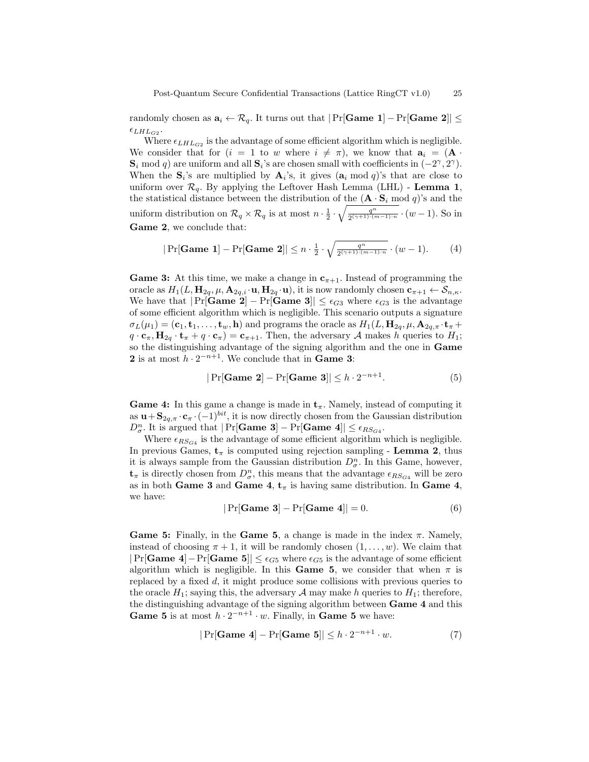randomly chosen as  $a_i \leftarrow \mathcal{R}_q$ . It turns out that  $|\Pr[\text{Game 1}] - \Pr[\text{Game 2}]| \le$  $\epsilon_{LHL_{G2}}$ .

Where  $\epsilon_{LHL_{G2}}$  is the advantage of some efficient algorithm which is negligible. We consider that for  $(i = 1$  to w where  $i \neq \pi$ ), we know that  $a_i = (A \cdot$  $\mathbf{S}_i \mod q$  are uniform and all  $\mathbf{S}_i$ 's are chosen small with coefficients in  $(-2^{\gamma}, 2^{\gamma})$ . When the  $S_i$ 's are multiplied by  $A_i$ 's, it gives  $(a_i \mod q)$ 's that are close to uniform over  $\mathcal{R}_a$ . By applying the Leftover Hash Lemma (LHL) - Lemma 1, the statistical distance between the distribution of the  $(\mathbf{A} \cdot \mathbf{S}_i \bmod q)$ 's and the uniform distribution on  $\mathcal{R}_q \times \mathcal{R}_q$  is at most  $n \cdot \frac{1}{2} \cdot \sqrt{\frac{q^n}{2^{(\gamma+1)\cdot(m-1)\cdot n}}} \cdot (w-1)$ . So in Game 2, we conclude that:

$$
|\Pr[\textbf{Game 1}] - \Pr[\textbf{Game 2}]| \le n \cdot \frac{1}{2} \cdot \sqrt{\frac{q^n}{2^{(\gamma+1)\cdot(m-1)\cdot n}}} \cdot (w-1). \tag{4}
$$

**Game 3:** At this time, we make a change in  $c_{\pi+1}$ . Instead of programming the oracle as  $H_1(L, \mathbf{H}_{2q}, \mu, \mathbf{A}_{2q,i} \cdot \mathbf{u}, \mathbf{H}_{2q} \cdot \mathbf{u})$ , it is now randomly chosen  $\mathbf{c}_{\pi+1} \leftarrow \mathcal{S}_{n,\kappa}$ . We have that  $|\Pr[\text{Game 2}] - \Pr[\text{Game 3}]| \leq \epsilon_{G3}$  where  $\epsilon_{G3}$  is the advantage of some efficient algorithm which is negligible. This scenario outputs a signature  $\sigma_L(\mu_1) = (\mathbf{c}_1, \mathbf{t}_1, \dots, \mathbf{t}_w, \mathbf{h})$  and programs the oracle as  $H_1(L, \mathbf{H}_{2q}, \mu, \mathbf{A}_{2q,\pi} \cdot \mathbf{t}_{\pi} +$  $q \cdot \mathbf{c}_{\pi}$ ,  $\mathbf{H}_{2q} \cdot \mathbf{t}_{\pi} + q \cdot \mathbf{c}_{\pi}$  =  $\mathbf{c}_{\pi+1}$ . Then, the adversary A makes h queries to  $H_1$ ; so the distinguishing advantage of the signing algorithm and the one in Game **2** is at most  $h \cdot 2^{-n+1}$ . We conclude that in **Game 3:** 

$$
|\Pr[\text{Game 2}] - \Pr[\text{Game 3}]| \le h \cdot 2^{-n+1}.\tag{5}
$$

**Game 4:** In this game a change is made in  $t_{\pi}$ . Namely, instead of computing it as  $\mathbf{u} + \mathbf{S}_{2q,\pi} \cdot \mathbf{c}_{\pi} \cdot (-1)^{bit}$ , it is now directly chosen from the Gaussian distribution  $D_{\sigma}^{n}$ . It is argued that  $|\Pr[\textbf{Game 3}] - \Pr[\textbf{Game 4}]| \leq \epsilon_{RS_{G4}}$ .

Where  $\epsilon_{RS_{G4}}$  is the advantage of some efficient algorithm which is negligible. In previous Games,  $t_{\pi}$  is computed using rejection sampling - Lemma 2, thus it is always sample from the Gaussian distribution  $D_{\sigma}^{n}$ . In this Game, however,  $\mathbf{t}_{\pi}$  is directly chosen from  $D_{\sigma}^{n}$ , this means that the advantage  $\epsilon_{RS_{G4}}$  will be zero as in both Game 3 and Game 4,  $t_{\pi}$  is having same distribution. In Game 4, we have:

$$
|\Pr[\text{Game 3}] - \Pr[\text{Game 4}]| = 0. \tag{6}
$$

Game 5: Finally, in the Game 5, a change is made in the index  $\pi$ . Namely, instead of choosing  $\pi + 1$ , it will be randomly chosen  $(1, \ldots, w)$ . We claim that  $|\Pr[\text{Game 4}] - \Pr[\text{Game 5}]| \leq \epsilon_{G5}$  where  $\epsilon_{G5}$  is the advantage of some efficient algorithm which is negligible. In this Game 5, we consider that when  $\pi$  is replaced by a fixed d, it might produce some collisions with previous queries to the oracle  $H_1$ ; saying this, the adversary A may make h queries to  $H_1$ ; therefore, the distinguishing advantage of the signing algorithm between Game 4 and this **Game 5** is at most  $h \cdot 2^{-n+1} \cdot w$ . Finally, in **Game 5** we have:

$$
|\Pr[\text{Game 4}] - \Pr[\text{Game 5}]| \le h \cdot 2^{-n+1} \cdot w. \tag{7}
$$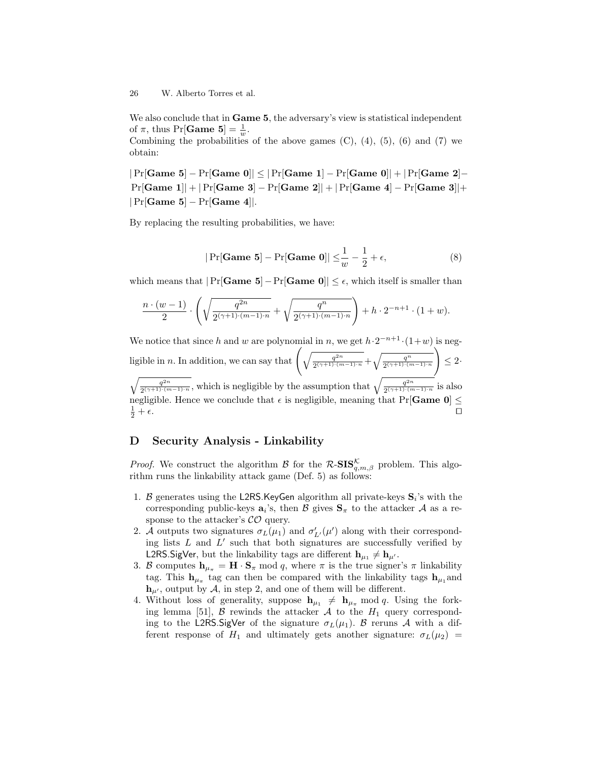#### 26 W. Alberto Torres et al.

We also conclude that in **Game 5**, the adversary's view is statistical independent of  $\pi$ , thus Pr[**Game** 5] =  $\frac{1}{w}$ .

Combining the probabilities of the above games  $(C)$ ,  $(4)$ ,  $(5)$ ,  $(6)$  and  $(7)$  we obtain:

 $|\Pr[\text{Game 5}] - \Pr[\text{Game 0}]| \leq |\Pr[\text{Game 1}] - \Pr[\text{Game 0}]| + |\Pr[\text{Game 2}] - \Pr[\text{Game 2}]|$ Pr[Game 1]| + |Pr[Game 3] − Pr[Game 2]| + |Pr[Game 4] − Pr[Game 3]|+  $|Pr[Game 5] - Pr[Game 4]|.$ 

By replacing the resulting probabilities, we have:

$$
|\Pr[\textbf{Game 5}] - \Pr[\textbf{Game 0}]| \leq \frac{1}{w} - \frac{1}{2} + \epsilon,
$$
\n(8)

which means that  $|\Pr[\textbf{Game 5}]-\Pr[\textbf{Game 0}]| \leq \epsilon$ , which itself is smaller than

$$
\frac{n \cdot (w-1)}{2} \cdot \left( \sqrt{\frac{q^{2n}}{2^{(\gamma+1)\cdot(m-1)\cdot n}}} + \sqrt{\frac{q^n}{2^{(\gamma+1)\cdot(m-1)\cdot n}}} \right) + h \cdot 2^{-n+1} \cdot (1+w).
$$

We notice that since h and w are polynomial in n, we get  $h \cdot 2^{-n+1} \cdot (1+w)$  is negligible in *n*. In addition, we can say that  $\left(\sqrt{\frac{q^{2n}}{2(1+1)\cdot(n)}}\right)$  $\frac{q^{2n}}{2^{(\gamma+1)\cdot(m-1)\cdot n}}+\sqrt{\frac{q^n}{2^{(\gamma+1)\cdot(m-1)\cdot n}}}$  $\setminus$  $\leq 2$  $\sqrt{q^{2n}}$  $\frac{q^{2n}}{2^{(\gamma+1)\cdot(m-1)\cdot n}}$ , which is negligible by the assumption that  $\sqrt{\frac{q^{2n}}{2^{(\gamma+1)\cdot(n-1)}}}$  $\frac{q^{2n}}{2(\gamma+1)\cdot(m-1)\cdot n}$  is also

negligible. Hence we conclude that  $\epsilon$  is negligible, meaning that Pr[Game 0]  $\leq$  $\frac{1}{2}+\epsilon.$  $\frac{1}{2} + \epsilon$ .

# D Security Analysis - Linkability

*Proof.* We construct the algorithm B for the  $\mathcal{R}\text{-SIS}_{q,m,\beta}^{\mathcal{K}}$  problem. This algorithm runs the linkability attack game (Def. 5) as follows:

- 1. B generates using the L2RS.KeyGen algorithm all private-keys  $S_i$ 's with the corresponding public-keys  $a_i$ 's, then  $\mathcal B$  gives  $S_\pi$  to the attacker  $\mathcal A$  as a response to the attacker's  $\mathcal{CO}$  query.
- 2. A outputs two signatures  $\sigma_L(\mu_1)$  and  $\sigma'_{L'}(\mu')$  along with their corresponding lists  $L$  and  $L'$  such that both signatures are successfully verified by L2RS.SigVer, but the linkability tags are different  $\mathbf{h}_{\mu_1} \neq \mathbf{h}_{\mu'}$ .
- 3. B computes  $h_{\mu_{\pi}} = H \cdot S_{\pi} \mod q$ , where  $\pi$  is the true signer's  $\pi$  linkability tag. This  $h_{\mu_{\pi}}$  tag can then be compared with the linkability tags  $h_{\mu_1}$  and  $\mathbf{h}_{\mu}$ , output by A, in step 2, and one of them will be different.
- 4. Without loss of generality, suppose  $h_{\mu_1} \neq h_{\mu_{\pi}} \mod q$ . Using the forking lemma [51],  $\beta$  rewinds the attacker  $\mathcal A$  to the  $H_1$  query corresponding to the L2RS.SigVer of the signature  $\sigma_L(\mu_1)$ . B reruns A with a different response of  $H_1$  and ultimately gets another signature:  $\sigma_L(\mu_2)$  =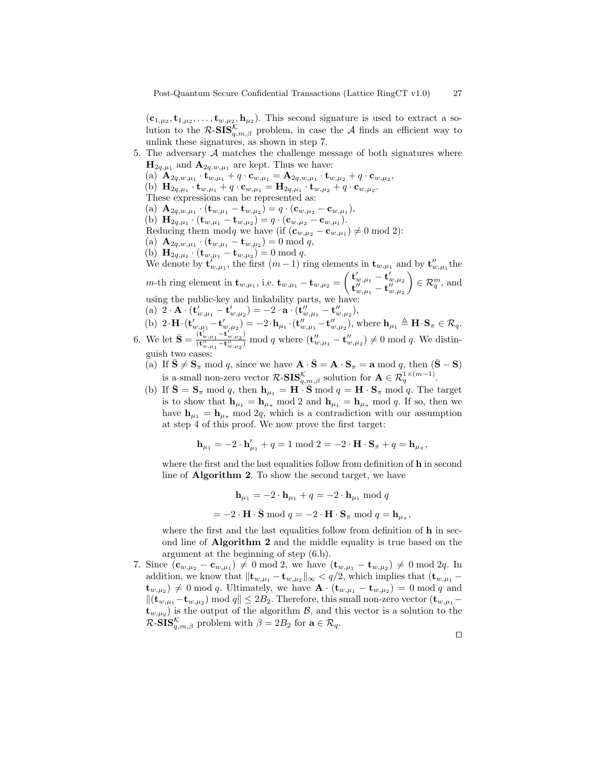$(c_{1,\mu_2}, t_{1,\mu_2}, \ldots, t_{w,\mu_2}, h_{\mu_2})$ . This second signature is used to extract a solution to the  $\mathcal{R}\text{-}\mathbf{SIS}_{q,m,\beta}^{\mathcal{K}}$  problem, in case the  $\mathcal{A}$  finds an efficient way to unlink these signatures, as shown in step 7.

- 5. The adversary  $A$  matches the challenge message of both signatures where  $\mathbf{H}_{2q,\mu_1}$  and  $\mathbf{A}_{2q,w,\mu_1}$  are kept. Thus we have:
	- $\text{(a)} \ \mathbf{A}_{2q,w,\mu_1} \cdot \mathbf{t}_{w,\mu_1} + q \cdot \mathbf{c}_{w,\mu_1} = \mathbf{A}_{2q,w,\mu_1} \cdot \mathbf{t}_{w,\mu_2} + q \cdot \mathbf{c}_{w,\mu_2},$
	- (b)  ${\bf H}_{2q,\mu_1} \cdot {\bf t}_{w,\mu_1} + q \cdot {\bf c}_{w,\mu_1} = {\bf H}_{2q,\mu_1} \cdot {\bf t}_{w,\mu_2} + q \cdot {\bf c}_{w,\mu_2}.$
	- These expressions can be represented as:
	- (a)  ${\bf A}_{2q,w,\mu_1}\cdot ({\bf t}_{w,\mu_1}-{\bf t}_{w,\mu_2})=q\cdot({\bf c}_{w,\mu_2}-{\bf c}_{w,\mu_1}),$
	- (b)  $\mathbf{H}_{2q,\mu_1} \cdot (\mathbf{t}_{w,\mu_1} \mathbf{t}_{w,\mu_2}) = q \cdot (\mathbf{c}_{w,\mu_2} \mathbf{c}_{w,\mu_1}).$
	- Reducing them modq we have (if  $(\mathbf{c}_{w,\mu_2} \mathbf{c}_{w,\mu_1}) \neq 0 \text{ mod } 2$ ):
	- (a)  $\mathbf{A}_{2q,w,\mu_1} \cdot (\mathbf{t}_{w,\mu_1} \mathbf{t}_{w,\mu_2}) = 0 \bmod q,$
	- (b)  $\mathbf{H}_{2q,\mu_1} \cdot (\mathbf{t}_{w,\mu_1} \mathbf{t}_{w,\mu_2}) = 0 \text{ mod } q.$

We denote by  $\mathbf{t}_{w,\mu_1}^{\prime}$ , the first  $(m-1)$  ring elements in  $\mathbf{t}_{w,\mu_1}$  and by  $\mathbf{t}_{w,\mu_1}^{\prime\prime}$  the  $m\text{-th ring element in }\mathbf{t}_{w,\mu_1}\text{, i.e. }\mathbf{t}_{w,\mu_1}-\mathbf{t}_{w,\mu_2}=\begin{pmatrix} \mathbf{t}_{w,\mu_1}'-\mathbf{t}_{w,\mu_2}'\ \mathbf{t}_{w,\mu_1}''-\mathbf{t}_{w,\mu_2}'\end{pmatrix}$  $\Big) \in \mathcal{R}_q^m$ , and using the public-key and linkability parts, we have:

- (a)  $2 \cdot \mathbf{A} \cdot (\mathbf{t}_{w,\mu_1}^{\prime} \mathbf{t}_{w,\mu_2}^{\prime}) = -2 \cdot \mathbf{a} \cdot (\mathbf{t}_{w,\mu_1}^{\prime\prime} \mathbf{t}_{w,\mu_2}^{\prime\prime}),$ (b)  $2 \cdot \mathbf{H} \cdot (\mathbf{t}'_{w,\mu_1} - \mathbf{t}'_{w,\mu_2}) = -2 \cdot \mathbf{h}_{\mu_1} \cdot (\mathbf{t}''_{w,\mu_1} - \mathbf{t}''_{w,\mu_2}),$  where  $\mathbf{h}_{\mu_1} \triangleq \mathbf{H} \cdot \mathbf{S}_{\pi} \in \mathcal{R}_q$ .
- 6. We let  $\bar{\mathbf{S}} = \frac{(\dot{\mathbf{t}}_{w,\mu_1}' \dot{\mathbf{t}}_{w,\mu_2}')}{(\dot{\mathbf{t}}'' \dot{\mathbf{t}}'' \dot{\mathbf{t}}'')},$  $\frac{(\mathbf{t}_{w,\mu_1}-\mathbf{t}_{w,\mu_2})}{(\mathbf{t}_{w,\mu_1}-\mathbf{t}_{w,\mu_2}^n)}$  mod q where  $(\mathbf{t}_{w,\mu_1}''-\mathbf{t}_{w,\mu_2}'') \neq 0$  mod q. We distinguish two cases:
	- (a) If  $\bar{S} \neq S_{\pi} \mod q$ , since we have  $\mathbf{A} \cdot \bar{S} = \mathbf{A} \cdot S_{\pi} = \mathbf{a} \mod q$ , then  $(\bar{S} S)$ is a small non-zero vector  $\mathcal{R}\text{-SIS}_{q,m,\beta}^{\mathcal{K}}$  solution for  $\mathbf{A} \in \mathcal{R}_q^{1 \times (m-1)}$ .
	- (b) If  $\bar{\mathbf{S}} = \mathbf{S}_{\pi} \mod q$ , then  $\mathbf{h}_{\mu_1} = \mathbf{H} \cdot \bar{\mathbf{S}} \mod q = \mathbf{H} \cdot \mathbf{S}_{\pi} \mod q$ . The target is to show that  $h_{\mu_1} = h_{\mu_\pi} \mod 2$  and  $h_{\mu_1} = h_{\mu_\pi} \mod q$ . If so, then we have  $h_{\mu_1} = h_{\mu_{\pi}}$  mod 2q, which is a contradiction with our assumption at step 4 of this proof. We now prove the first target:

$$
\mathbf{h}_{\mu_1} = -2 \cdot \mathbf{h}_{\mu_1} + q = 1 \bmod 2 = -2 \cdot \mathbf{H} \cdot \mathbf{S}_{\pi} + q = \mathbf{h}_{\mu_{\pi}},
$$

where the first and the last equalities follow from definition of **h** in second line of Algorithm 2. To show the second target, we have

> $h_{\mu_1} = -2 \cdot h_{\mu_1} + q = -2 \cdot h_{\mu_1} \mod q$  $= -2 \cdot \mathbf{H} \cdot \bar{\mathbf{S}} \bmod q = -2 \cdot \mathbf{H} \cdot \mathbf{S}_{\pi} \bmod q = \mathbf{h}_{\mu_{\pi}},$

where the first and the last equalities follow from definition of h in second line of Algorithm 2 and the middle equality is true based on the argument at the beginning of step (6.b).

7. Since  $(c_{w,\mu_2} - c_{w,\mu_1}) \neq 0 \mod 2$ , we have  $(\mathbf{t}_{w,\mu_1} - \mathbf{t}_{w,\mu_2}) \neq 0 \mod 2q$ . In addition, we know that  $\|\mathbf{t}_{w,\mu_1} - \mathbf{t}_{w,\mu_2}\|_{\infty} < q/2$ , which implies that  $(\mathbf{t}_{w,\mu_1} - \mathbf{t}_{w,\mu_2})$  $(\mathbf{t}_{w,\mu_2}) \neq 0 \text{ mod } q$ . Ultimately, we have  $\mathbf{A} \cdot (\mathbf{t}_{w,\mu_1} - \mathbf{t}_{w,\mu_2}) = 0 \text{ mod } q$  and  $\|(\mathbf{t}_{w,\mu_1} - \mathbf{t}_{w,\mu_2}) \bmod q\| \le 2B_2$ . Therefore, this small non-zero vector  $(\mathbf{t}_{w,\mu_1} \mathbf{t}_{w,\mu_2}$ ) is the output of the algorithm  $\mathcal{B}$ , and this vector is a solution to the  $\mathcal{R}\text{-SIS}_{q,m,\beta}^{\mathcal{K}}$  problem with  $\beta = 2B_2$  for  $\mathbf{a} \in \mathcal{R}_q$ .